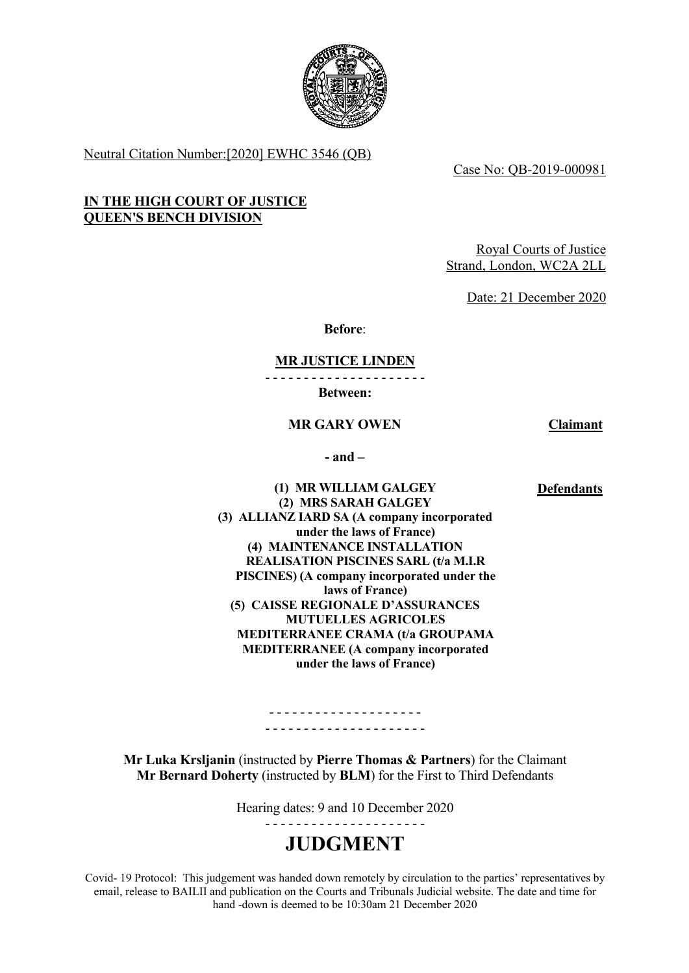

Neutral Citation Number:[2020] EWHC 3546 (QB)

Case No: QB-2019-000981

#### **IN THE HIGH COURT OF JUSTICE QUEEN'S BENCH DIVISION**

Royal Courts of Justice Strand, London, WC2A 2LL

Date: 21 December 2020

**Before**:

#### **MR JUSTICE LINDEN**

- - - - - - - - - - - - - - - - - - - - -

**Between:**

#### **MR GARY OWEN Claimant**

**- and –**

#### **Defendants**

**(1) MR WILLIAM GALGEY (2) MRS SARAH GALGEY (3) ALLIANZ IARD SA (A company incorporated under the laws of France) (4) MAINTENANCE INSTALLATION REALISATION PISCINES SARL (t/a M.I.R PISCINES) (A company incorporated under the laws of France) (5) CAISSE REGIONALE D'ASSURANCES MUTUELLES AGRICOLES MEDITERRANEE CRAMA (t/a GROUPAMA MEDITERRANEE (A company incorporated under the laws of France)**

**Mr Luka Krsljanin** (instructed by **Pierre Thomas & Partners**) for the Claimant **Mr Bernard Doherty** (instructed by **BLM**) for the First to Third Defendants

- - - - - - - - - - - - - - - - - - - - - - - - - - - - - - - - - - - - - - - - -

Hearing dates: 9 and 10 December 2020

- - - - - - - - - - - - - - - - - - - - -

# **JUDGMENT**

Covid- 19 Protocol: This judgement was handed down remotely by circulation to the parties' representatives by email, release to BAILII and publication on the Courts and Tribunals Judicial website. The date and time for hand -down is deemed to be 10:30am 21 December 2020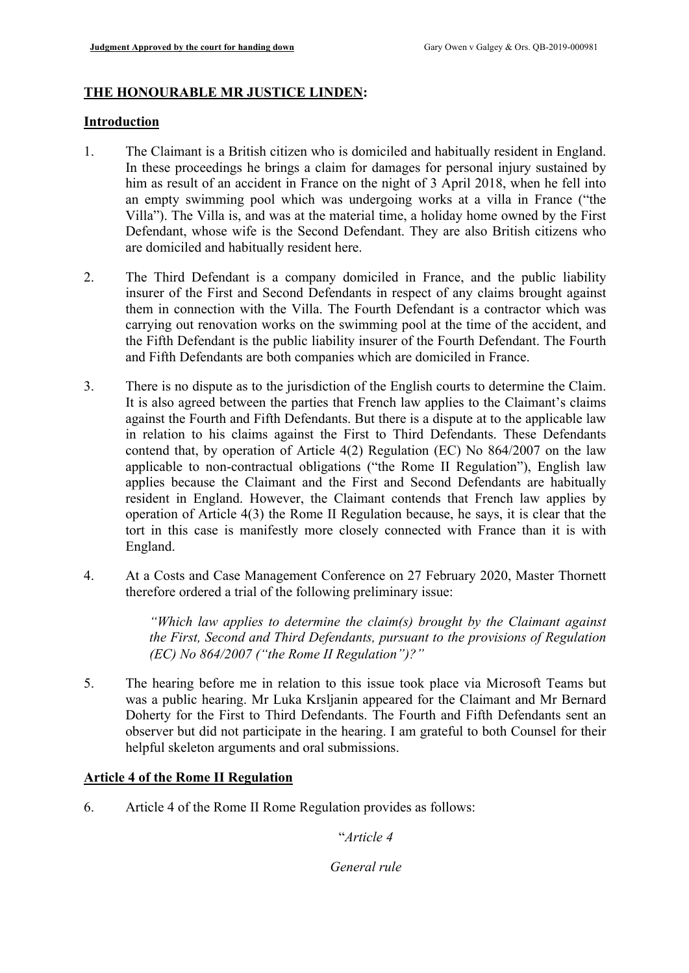# **THE HONOURABLE MR JUSTICE LINDEN:**

## **Introduction**

- 1. The Claimant is a British citizen who is domiciled and habitually resident in England. In these proceedings he brings a claim for damages for personal injury sustained by him as result of an accident in France on the night of 3 April 2018, when he fell into an empty swimming pool which was undergoing works at a villa in France ("the Villa"). The Villa is, and was at the material time, a holiday home owned by the First Defendant, whose wife is the Second Defendant. They are also British citizens who are domiciled and habitually resident here.
- 2. The Third Defendant is a company domiciled in France, and the public liability insurer of the First and Second Defendants in respect of any claims brought against them in connection with the Villa. The Fourth Defendant is a contractor which was carrying out renovation works on the swimming pool at the time of the accident, and the Fifth Defendant is the public liability insurer of the Fourth Defendant. The Fourth and Fifth Defendants are both companies which are domiciled in France.
- 3. There is no dispute as to the jurisdiction of the English courts to determine the Claim. It is also agreed between the parties that French law applies to the Claimant's claims against the Fourth and Fifth Defendants. But there is a dispute at to the applicable law in relation to his claims against the First to Third Defendants. These Defendants contend that, by operation of Article 4(2) Regulation (EC) No 864/2007 on the law applicable to non-contractual obligations ("the Rome II Regulation"), English law applies because the Claimant and the First and Second Defendants are habitually resident in England. However, the Claimant contends that French law applies by operation of Article 4(3) the Rome II Regulation because, he says, it is clear that the tort in this case is manifestly more closely connected with France than it is with England.
- 4. At a Costs and Case Management Conference on 27 February 2020, Master Thornett therefore ordered a trial of the following preliminary issue:

*"Which law applies to determine the claim(s) brought by the Claimant against the First, Second and Third Defendants, pursuant to the provisions of Regulation (EC) No 864/2007 ("the Rome II Regulation")?"*

5. The hearing before me in relation to this issue took place via Microsoft Teams but was a public hearing. Mr Luka Krsljanin appeared for the Claimant and Mr Bernard Doherty for the First to Third Defendants. The Fourth and Fifth Defendants sent an observer but did not participate in the hearing. I am grateful to both Counsel for their helpful skeleton arguments and oral submissions.

# **Article 4 of the Rome II Regulation**

6. Article 4 of the Rome II Rome Regulation provides as follows:

"*Article 4*

*General rule*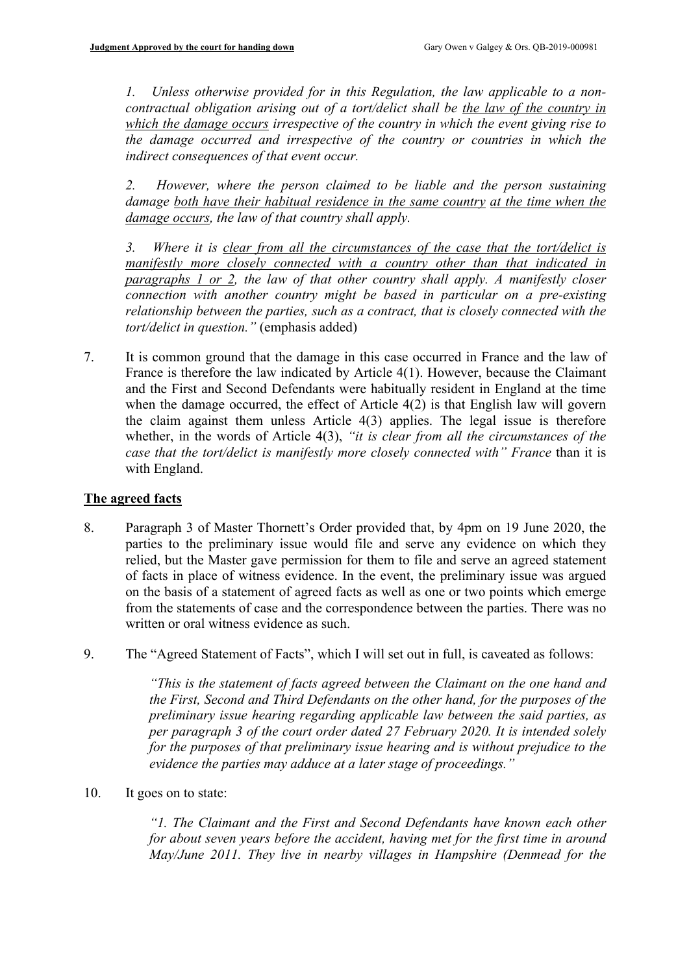*1. Unless otherwise provided for in this Regulation, the law applicable to a noncontractual obligation arising out of a tort/delict shall be the law of the country in which the damage occurs irrespective of the country in which the event giving rise to the damage occurred and irrespective of the country or countries in which the indirect consequences of that event occur.*

*2. However, where the person claimed to be liable and the person sustaining damage both have their habitual residence in the same country at the time when the damage occurs, the law of that country shall apply.*

*3. Where it is clear from all the circumstances of the case that the tort/delict is manifestly more closely connected with a country other than that indicated in paragraphs 1 or 2, the law of that other country shall apply. A manifestly closer connection with another country might be based in particular on a pre-existing relationship between the parties, such as a contract, that is closely connected with the tort/delict in question."* (emphasis added)

7. It is common ground that the damage in this case occurred in France and the law of France is therefore the law indicated by Article 4(1). However, because the Claimant and the First and Second Defendants were habitually resident in England at the time when the damage occurred, the effect of Article 4(2) is that English law will govern the claim against them unless Article 4(3) applies. The legal issue is therefore whether, in the words of Article 4(3), *"it is clear from all the circumstances of the case that the tort/delict is manifestly more closely connected with" France* than it is with England.

# **The agreed facts**

- 8. Paragraph 3 of Master Thornett's Order provided that, by 4pm on 19 June 2020, the parties to the preliminary issue would file and serve any evidence on which they relied, but the Master gave permission for them to file and serve an agreed statement of facts in place of witness evidence. In the event, the preliminary issue was argued on the basis of a statement of agreed facts as well as one or two points which emerge from the statements of case and the correspondence between the parties. There was no written or oral witness evidence as such.
- 9. The "Agreed Statement of Facts", which I will set out in full, is caveated as follows:

*"This is the statement of facts agreed between the Claimant on the one hand and the First, Second and Third Defendants on the other hand, for the purposes of the preliminary issue hearing regarding applicable law between the said parties, as per paragraph 3 of the court order dated 27 February 2020. It is intended solely for the purposes of that preliminary issue hearing and is without prejudice to the evidence the parties may adduce at a later stage of proceedings."*

10. It goes on to state:

*"1. The Claimant and the First and Second Defendants have known each other for about seven years before the accident, having met for the first time in around May/June 2011. They live in nearby villages in Hampshire (Denmead for the*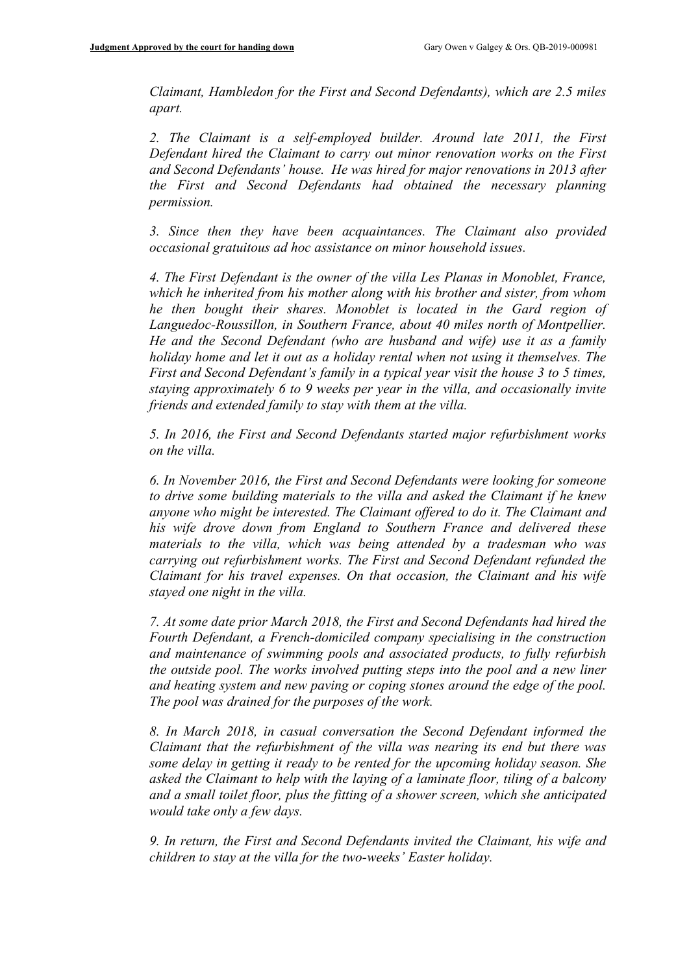*Claimant, Hambledon for the First and Second Defendants), which are 2.5 miles apart.*

*2. The Claimant is a self-employed builder. Around late 2011, the First Defendant hired the Claimant to carry out minor renovation works on the First and Second Defendants' house. He was hired for major renovations in 2013 after the First and Second Defendants had obtained the necessary planning permission.*

*3. Since then they have been acquaintances. The Claimant also provided occasional gratuitous ad hoc assistance on minor household issues.*

*4. The First Defendant is the owner of the villa Les Planas in Monoblet, France, which he inherited from his mother along with his brother and sister, from whom he then bought their shares. Monoblet is located in the Gard region of Languedoc-Roussillon, in Southern France, about 40 miles north of Montpellier. He and the Second Defendant (who are husband and wife) use it as a family holiday home and let it out as a holiday rental when not using it themselves. The First and Second Defendant's family in a typical year visit the house 3 to 5 times, staying approximately 6 to 9 weeks per year in the villa, and occasionally invite friends and extended family to stay with them at the villa.* 

*5. In 2016, the First and Second Defendants started major refurbishment works on the villa.* 

*6. In November 2016, the First and Second Defendants were looking for someone to drive some building materials to the villa and asked the Claimant if he knew anyone who might be interested. The Claimant offered to do it. The Claimant and his wife drove down from England to Southern France and delivered these materials to the villa, which was being attended by a tradesman who was carrying out refurbishment works. The First and Second Defendant refunded the Claimant for his travel expenses. On that occasion, the Claimant and his wife stayed one night in the villa.*

*7. At some date prior March 2018, the First and Second Defendants had hired the Fourth Defendant, a French-domiciled company specialising in the construction and maintenance of swimming pools and associated products, to fully refurbish the outside pool. The works involved putting steps into the pool and a new liner and heating system and new paving or coping stones around the edge of the pool. The pool was drained for the purposes of the work.*

*8. In March 2018, in casual conversation the Second Defendant informed the Claimant that the refurbishment of the villa was nearing its end but there was some delay in getting it ready to be rented for the upcoming holiday season. She asked the Claimant to help with the laying of a laminate floor, tiling of a balcony and a small toilet floor, plus the fitting of a shower screen, which she anticipated would take only a few days.*

*9. In return, the First and Second Defendants invited the Claimant, his wife and children to stay at the villa for the two-weeks' Easter holiday.*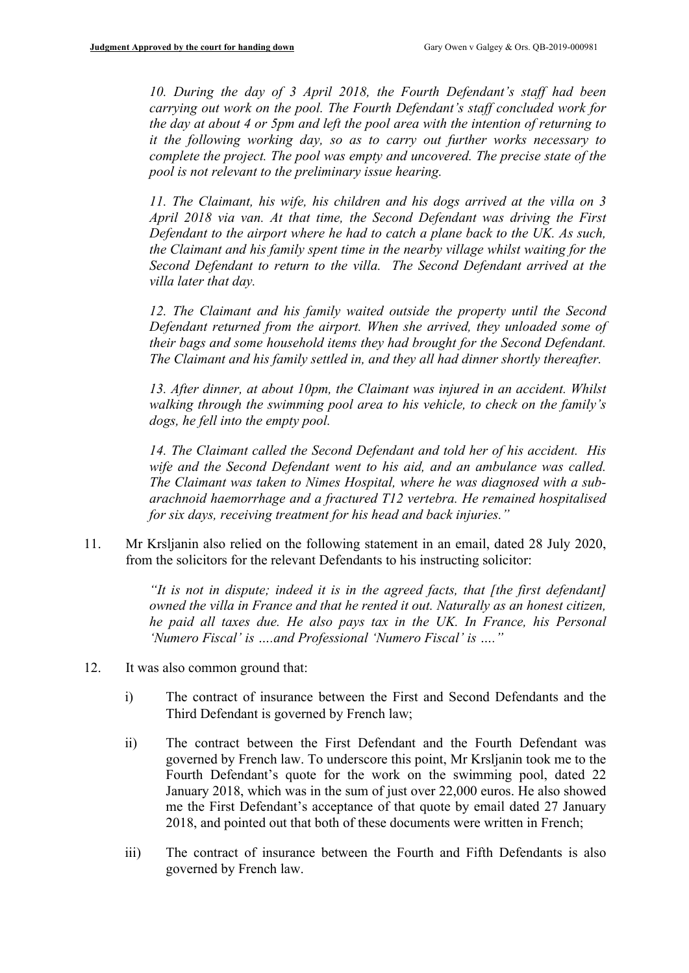*10. During the day of 3 April 2018, the Fourth Defendant's staff had been carrying out work on the pool. The Fourth Defendant's staff concluded work for the day at about 4 or 5pm and left the pool area with the intention of returning to it the following working day, so as to carry out further works necessary to complete the project. The pool was empty and uncovered. The precise state of the pool is not relevant to the preliminary issue hearing.*

*11. The Claimant, his wife, his children and his dogs arrived at the villa on 3 April 2018 via van. At that time, the Second Defendant was driving the First Defendant to the airport where he had to catch a plane back to the UK. As such, the Claimant and his family spent time in the nearby village whilst waiting for the Second Defendant to return to the villa. The Second Defendant arrived at the villa later that day.*

*12. The Claimant and his family waited outside the property until the Second Defendant returned from the airport. When she arrived, they unloaded some of their bags and some household items they had brought for the Second Defendant. The Claimant and his family settled in, and they all had dinner shortly thereafter.*

*13. After dinner, at about 10pm, the Claimant was injured in an accident. Whilst walking through the swimming pool area to his vehicle, to check on the family's dogs, he fell into the empty pool.* 

*14. The Claimant called the Second Defendant and told her of his accident. His wife and the Second Defendant went to his aid, and an ambulance was called. The Claimant was taken to Nimes Hospital, where he was diagnosed with a subarachnoid haemorrhage and a fractured T12 vertebra. He remained hospitalised for six days, receiving treatment for his head and back injuries."*

11. Mr Krsljanin also relied on the following statement in an email, dated 28 July 2020, from the solicitors for the relevant Defendants to his instructing solicitor:

> *"It is not in dispute; indeed it is in the agreed facts, that [the first defendant] owned the villa in France and that he rented it out. Naturally as an honest citizen, he paid all taxes due. He also pays tax in the UK. In France, his Personal 'Numero Fiscal' is ….and Professional 'Numero Fiscal' is …."*

- 12. It was also common ground that:
	- i) The contract of insurance between the First and Second Defendants and the Third Defendant is governed by French law;
	- ii) The contract between the First Defendant and the Fourth Defendant was governed by French law. To underscore this point, Mr Krsljanin took me to the Fourth Defendant's quote for the work on the swimming pool, dated 22 January 2018, which was in the sum of just over 22,000 euros. He also showed me the First Defendant's acceptance of that quote by email dated 27 January 2018, and pointed out that both of these documents were written in French;
	- iii) The contract of insurance between the Fourth and Fifth Defendants is also governed by French law.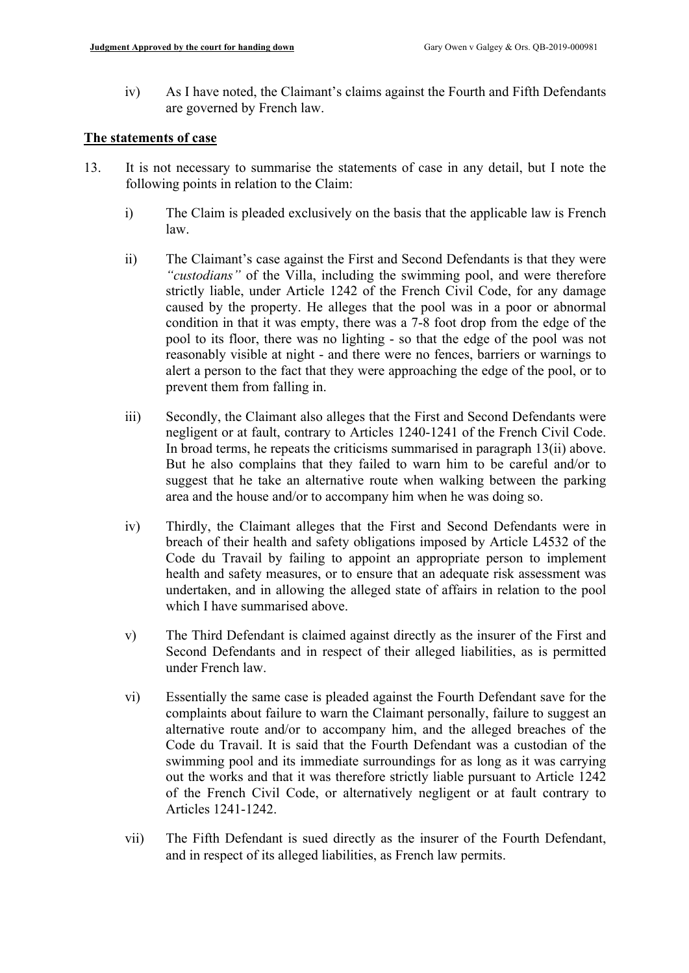iv) As I have noted, the Claimant's claims against the Fourth and Fifth Defendants are governed by French law.

## **The statements of case**

- 13. It is not necessary to summarise the statements of case in any detail, but I note the following points in relation to the Claim:
	- i) The Claim is pleaded exclusively on the basis that the applicable law is French law.
	- ii) The Claimant's case against the First and Second Defendants is that they were *"custodians"* of the Villa, including the swimming pool, and were therefore strictly liable, under Article 1242 of the French Civil Code, for any damage caused by the property. He alleges that the pool was in a poor or abnormal condition in that it was empty, there was a 7-8 foot drop from the edge of the pool to its floor, there was no lighting - so that the edge of the pool was not reasonably visible at night - and there were no fences, barriers or warnings to alert a person to the fact that they were approaching the edge of the pool, or to prevent them from falling in.
	- iii) Secondly, the Claimant also alleges that the First and Second Defendants were negligent or at fault, contrary to Articles 1240-1241 of the French Civil Code. In broad terms, he repeats the criticisms summarised in paragraph 13(ii) above. But he also complains that they failed to warn him to be careful and/or to suggest that he take an alternative route when walking between the parking area and the house and/or to accompany him when he was doing so.
	- iv) Thirdly, the Claimant alleges that the First and Second Defendants were in breach of their health and safety obligations imposed by Article L4532 of the Code du Travail by failing to appoint an appropriate person to implement health and safety measures, or to ensure that an adequate risk assessment was undertaken, and in allowing the alleged state of affairs in relation to the pool which I have summarised above.
	- v) The Third Defendant is claimed against directly as the insurer of the First and Second Defendants and in respect of their alleged liabilities, as is permitted under French law.
	- vi) Essentially the same case is pleaded against the Fourth Defendant save for the complaints about failure to warn the Claimant personally, failure to suggest an alternative route and/or to accompany him, and the alleged breaches of the Code du Travail. It is said that the Fourth Defendant was a custodian of the swimming pool and its immediate surroundings for as long as it was carrying out the works and that it was therefore strictly liable pursuant to Article 1242 of the French Civil Code, or alternatively negligent or at fault contrary to Articles 1241-1242.
	- vii) The Fifth Defendant is sued directly as the insurer of the Fourth Defendant, and in respect of its alleged liabilities, as French law permits.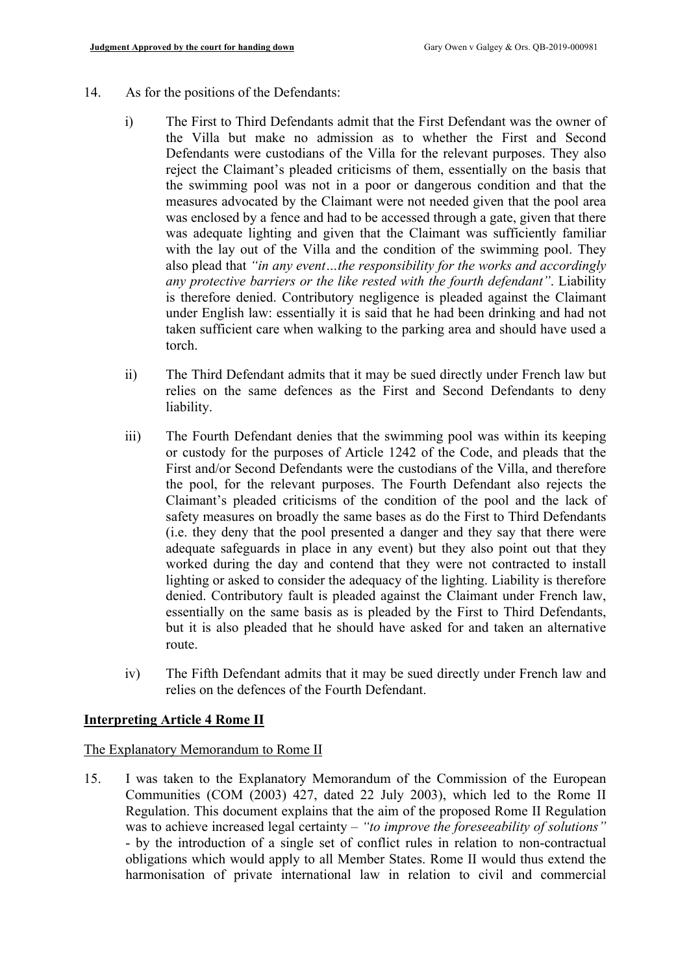- 14. As for the positions of the Defendants:
	- i) The First to Third Defendants admit that the First Defendant was the owner of the Villa but make no admission as to whether the First and Second Defendants were custodians of the Villa for the relevant purposes. They also reject the Claimant's pleaded criticisms of them, essentially on the basis that the swimming pool was not in a poor or dangerous condition and that the measures advocated by the Claimant were not needed given that the pool area was enclosed by a fence and had to be accessed through a gate, given that there was adequate lighting and given that the Claimant was sufficiently familiar with the lay out of the Villa and the condition of the swimming pool. They also plead that *"in any event…the responsibility for the works and accordingly any protective barriers or the like rested with the fourth defendant"*. Liability is therefore denied. Contributory negligence is pleaded against the Claimant under English law: essentially it is said that he had been drinking and had not taken sufficient care when walking to the parking area and should have used a torch.
	- ii) The Third Defendant admits that it may be sued directly under French law but relies on the same defences as the First and Second Defendants to deny liability.
	- iii) The Fourth Defendant denies that the swimming pool was within its keeping or custody for the purposes of Article 1242 of the Code, and pleads that the First and/or Second Defendants were the custodians of the Villa, and therefore the pool, for the relevant purposes. The Fourth Defendant also rejects the Claimant's pleaded criticisms of the condition of the pool and the lack of safety measures on broadly the same bases as do the First to Third Defendants (i.e. they deny that the pool presented a danger and they say that there were adequate safeguards in place in any event) but they also point out that they worked during the day and contend that they were not contracted to install lighting or asked to consider the adequacy of the lighting. Liability is therefore denied. Contributory fault is pleaded against the Claimant under French law, essentially on the same basis as is pleaded by the First to Third Defendants, but it is also pleaded that he should have asked for and taken an alternative route.
	- iv) The Fifth Defendant admits that it may be sued directly under French law and relies on the defences of the Fourth Defendant.

#### **Interpreting Article 4 Rome II**

#### The Explanatory Memorandum to Rome II

15. I was taken to the Explanatory Memorandum of the Commission of the European Communities (COM (2003) 427, dated 22 July 2003), which led to the Rome II Regulation. This document explains that the aim of the proposed Rome II Regulation was to achieve increased legal certainty – *"to improve the foreseeability of solutions"* - by the introduction of a single set of conflict rules in relation to non-contractual obligations which would apply to all Member States. Rome II would thus extend the harmonisation of private international law in relation to civil and commercial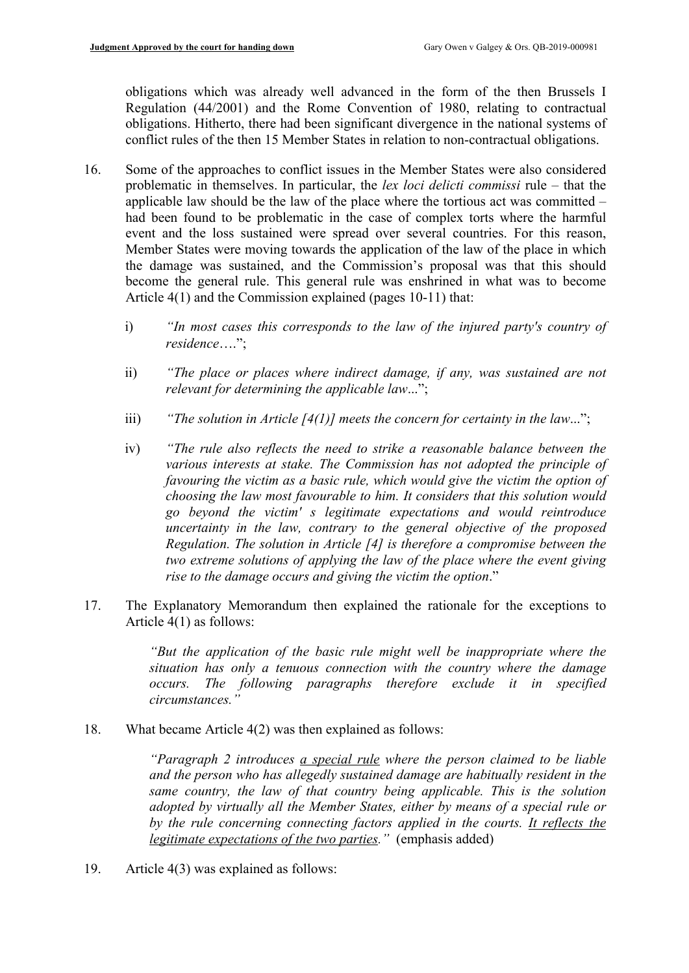obligations which was already well advanced in the form of the then Brussels I Regulation (44/2001) and the Rome Convention of 1980, relating to contractual obligations. Hitherto, there had been significant divergence in the national systems of conflict rules of the then 15 Member States in relation to non-contractual obligations.

- 16. Some of the approaches to conflict issues in the Member States were also considered problematic in themselves. In particular, the *lex loci delicti commissi* rule – that the applicable law should be the law of the place where the tortious act was committed – had been found to be problematic in the case of complex torts where the harmful event and the loss sustained were spread over several countries. For this reason, Member States were moving towards the application of the law of the place in which the damage was sustained, and the Commission's proposal was that this should become the general rule. This general rule was enshrined in what was to become Article 4(1) and the Commission explained (pages 10-11) that:
	- i) *"In most cases this corresponds to the law of the injured party's country of residence*….";
	- ii) *"The place or places where indirect damage, if any, was sustained are not relevant for determining the applicable law*...";
	- iii) *"The solution in Article [4(1)] meets the concern for certainty in the law*...";
	- iv) *"The rule also reflects the need to strike a reasonable balance between the various interests at stake. The Commission has not adopted the principle of favouring the victim as a basic rule, which would give the victim the option of choosing the law most favourable to him. It considers that this solution would go beyond the victim' s legitimate expectations and would reintroduce uncertainty in the law, contrary to the general objective of the proposed Regulation. The solution in Article [4] is therefore a compromise between the two extreme solutions of applying the law of the place where the event giving rise to the damage occurs and giving the victim the option*."
- 17. The Explanatory Memorandum then explained the rationale for the exceptions to Article 4(1) as follows:

*"But the application of the basic rule might well be inappropriate where the situation has only a tenuous connection with the country where the damage occurs. The following paragraphs therefore exclude it in specified circumstances."*

18. What became Article 4(2) was then explained as follows:

*"Paragraph 2 introduces a special rule where the person claimed to be liable and the person who has allegedly sustained damage are habitually resident in the same country, the law of that country being applicable. This is the solution adopted by virtually all the Member States, either by means of a special rule or by the rule concerning connecting factors applied in the courts. It reflects the legitimate expectations of the two parties."* (emphasis added)

19. Article 4(3) was explained as follows: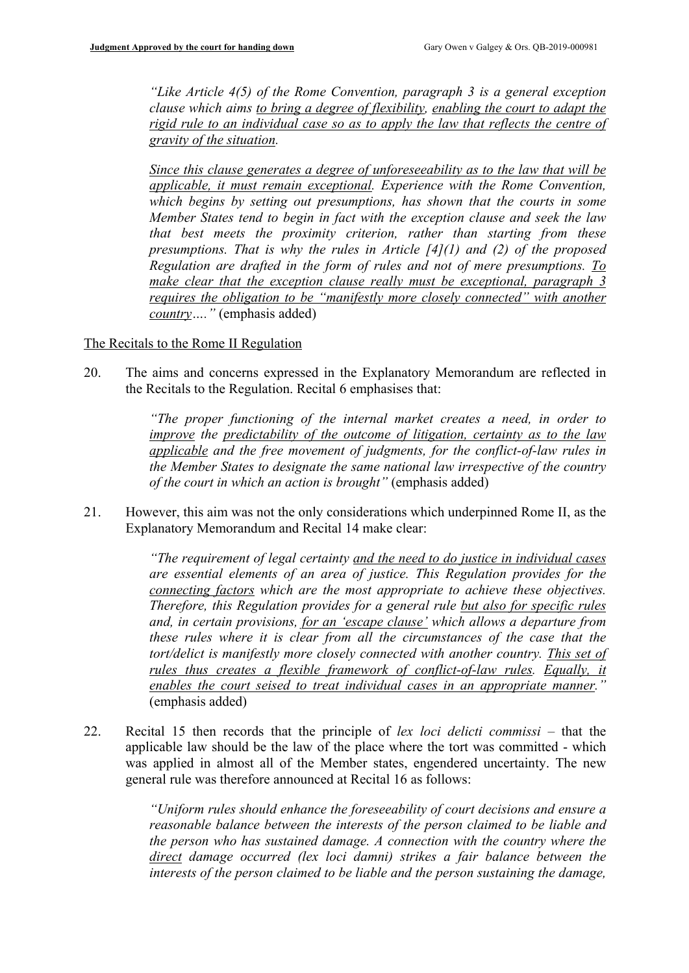*"Like Article 4(5) of the Rome Convention, paragraph 3 is a general exception clause which aims to bring a degree of flexibility, enabling the court to adapt the rigid rule to an individual case so as to apply the law that reflects the centre of gravity of the situation.*

*Since this clause generates a degree of unforeseeability as to the law that will be applicable, it must remain exceptional. Experience with the Rome Convention, which begins by setting out presumptions, has shown that the courts in some Member States tend to begin in fact with the exception clause and seek the law that best meets the proximity criterion, rather than starting from these presumptions. That is why the rules in Article [4](1) and (2) of the proposed Regulation are drafted in the form of rules and not of mere presumptions. To make clear that the exception clause really must be exceptional, paragraph 3 requires the obligation to be "manifestly more closely connected" with another country…."* (emphasis added)

The Recitals to the Rome II Regulation

20. The aims and concerns expressed in the Explanatory Memorandum are reflected in the Recitals to the Regulation. Recital 6 emphasises that:

> *"The proper functioning of the internal market creates a need, in order to improve the predictability of the outcome of litigation, certainty as to the law applicable and the free movement of judgments, for the conflict-of-law rules in the Member States to designate the same national law irrespective of the country of the court in which an action is brought"* (emphasis added)

21. However, this aim was not the only considerations which underpinned Rome II, as the Explanatory Memorandum and Recital 14 make clear:

> *"The requirement of legal certainty and the need to do justice in individual cases are essential elements of an area of justice. This Regulation provides for the connecting factors which are the most appropriate to achieve these objectives. Therefore, this Regulation provides for a general rule but also for specific rules and, in certain provisions, for an 'escape clause' which allows a departure from these rules where it is clear from all the circumstances of the case that the tort/delict is manifestly more closely connected with another country. This set of rules thus creates a flexible framework of conflict-of-law rules. Equally, it enables the court seised to treat individual cases in an appropriate manner."* (emphasis added)

22. Recital 15 then records that the principle of *lex loci delicti commissi* – that the applicable law should be the law of the place where the tort was committed - which was applied in almost all of the Member states, engendered uncertainty. The new general rule was therefore announced at Recital 16 as follows:

> *"Uniform rules should enhance the foreseeability of court decisions and ensure a reasonable balance between the interests of the person claimed to be liable and the person who has sustained damage. A connection with the country where the direct damage occurred (lex loci damni) strikes a fair balance between the interests of the person claimed to be liable and the person sustaining the damage,*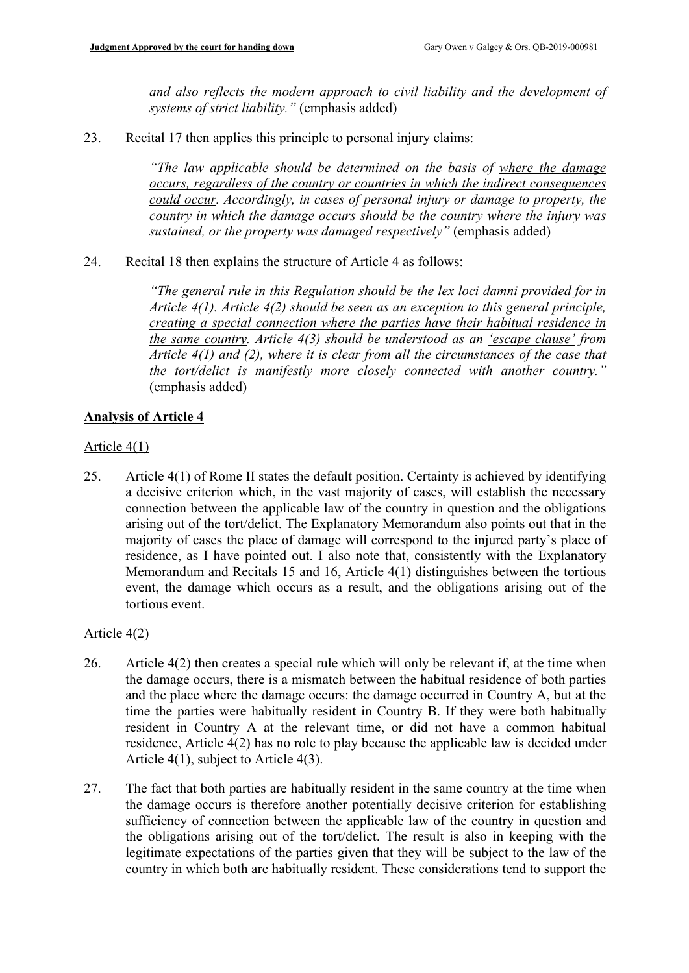*and also reflects the modern approach to civil liability and the development of systems of strict liability."* (emphasis added)

23. Recital 17 then applies this principle to personal injury claims:

*"The law applicable should be determined on the basis of where the damage occurs, regardless of the country or countries in which the indirect consequences could occur. Accordingly, in cases of personal injury or damage to property, the country in which the damage occurs should be the country where the injury was sustained, or the property was damaged respectively"* (emphasis added)

# 24. Recital 18 then explains the structure of Article 4 as follows:

*"The general rule in this Regulation should be the lex loci damni provided for in Article 4(1). Article 4(2) should be seen as an exception to this general principle, creating a special connection where the parties have their habitual residence in the same country. Article 4(3) should be understood as an 'escape clause' from Article 4(1) and (2), where it is clear from all the circumstances of the case that the tort/delict is manifestly more closely connected with another country."* (emphasis added)

# **Analysis of Article 4**

## Article 4(1)

25. Article 4(1) of Rome II states the default position. Certainty is achieved by identifying a decisive criterion which, in the vast majority of cases, will establish the necessary connection between the applicable law of the country in question and the obligations arising out of the tort/delict. The Explanatory Memorandum also points out that in the majority of cases the place of damage will correspond to the injured party's place of residence, as I have pointed out. I also note that, consistently with the Explanatory Memorandum and Recitals 15 and 16, Article 4(1) distinguishes between the tortious event, the damage which occurs as a result, and the obligations arising out of the tortious event.

#### Article 4(2)

- 26. Article 4(2) then creates a special rule which will only be relevant if, at the time when the damage occurs, there is a mismatch between the habitual residence of both parties and the place where the damage occurs: the damage occurred in Country A, but at the time the parties were habitually resident in Country B. If they were both habitually resident in Country A at the relevant time, or did not have a common habitual residence, Article 4(2) has no role to play because the applicable law is decided under Article 4(1), subject to Article 4(3).
- 27. The fact that both parties are habitually resident in the same country at the time when the damage occurs is therefore another potentially decisive criterion for establishing sufficiency of connection between the applicable law of the country in question and the obligations arising out of the tort/delict. The result is also in keeping with the legitimate expectations of the parties given that they will be subject to the law of the country in which both are habitually resident. These considerations tend to support the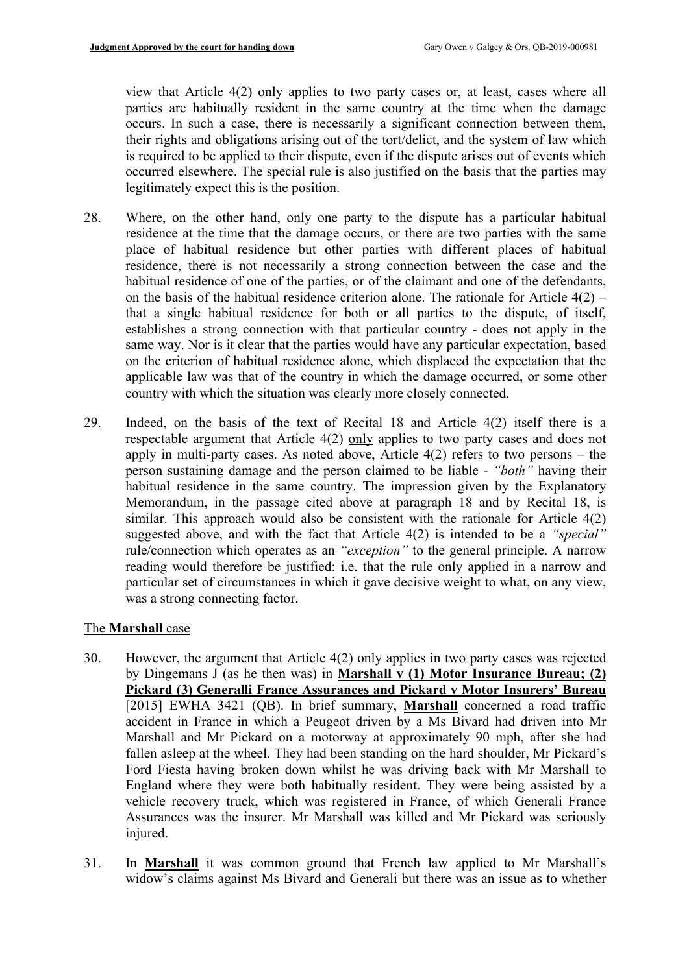view that Article 4(2) only applies to two party cases or, at least, cases where all parties are habitually resident in the same country at the time when the damage occurs. In such a case, there is necessarily a significant connection between them, their rights and obligations arising out of the tort/delict, and the system of law which is required to be applied to their dispute, even if the dispute arises out of events which occurred elsewhere. The special rule is also justified on the basis that the parties may legitimately expect this is the position.

- 28. Where, on the other hand, only one party to the dispute has a particular habitual residence at the time that the damage occurs, or there are two parties with the same place of habitual residence but other parties with different places of habitual residence, there is not necessarily a strong connection between the case and the habitual residence of one of the parties, or of the claimant and one of the defendants, on the basis of the habitual residence criterion alone. The rationale for Article  $4(2)$  – that a single habitual residence for both or all parties to the dispute, of itself, establishes a strong connection with that particular country - does not apply in the same way. Nor is it clear that the parties would have any particular expectation, based on the criterion of habitual residence alone, which displaced the expectation that the applicable law was that of the country in which the damage occurred, or some other country with which the situation was clearly more closely connected.
- 29. Indeed, on the basis of the text of Recital 18 and Article 4(2) itself there is a respectable argument that Article 4(2) only applies to two party cases and does not apply in multi-party cases. As noted above, Article 4(2) refers to two persons – the person sustaining damage and the person claimed to be liable - *"both"* having their habitual residence in the same country. The impression given by the Explanatory Memorandum, in the passage cited above at paragraph 18 and by Recital 18, is similar. This approach would also be consistent with the rationale for Article 4(2) suggested above, and with the fact that Article 4(2) is intended to be a *"special"* rule/connection which operates as an *"exception"* to the general principle. A narrow reading would therefore be justified: i.e. that the rule only applied in a narrow and particular set of circumstances in which it gave decisive weight to what, on any view, was a strong connecting factor.

# The **Marshall** case

- 30. However, the argument that Article 4(2) only applies in two party cases was rejected by Dingemans J (as he then was) in **Marshall v (1) Motor Insurance Bureau; (2) Pickard (3) Generalli France Assurances and Pickard v Motor Insurers' Bureau** [2015] EWHA 3421 (QB). In brief summary, **Marshall** concerned a road traffic accident in France in which a Peugeot driven by a Ms Bivard had driven into Mr Marshall and Mr Pickard on a motorway at approximately 90 mph, after she had fallen asleep at the wheel. They had been standing on the hard shoulder, Mr Pickard's Ford Fiesta having broken down whilst he was driving back with Mr Marshall to England where they were both habitually resident. They were being assisted by a vehicle recovery truck, which was registered in France, of which Generali France Assurances was the insurer. Mr Marshall was killed and Mr Pickard was seriously injured.
- 31. In **Marshall** it was common ground that French law applied to Mr Marshall's widow's claims against Ms Bivard and Generali but there was an issue as to whether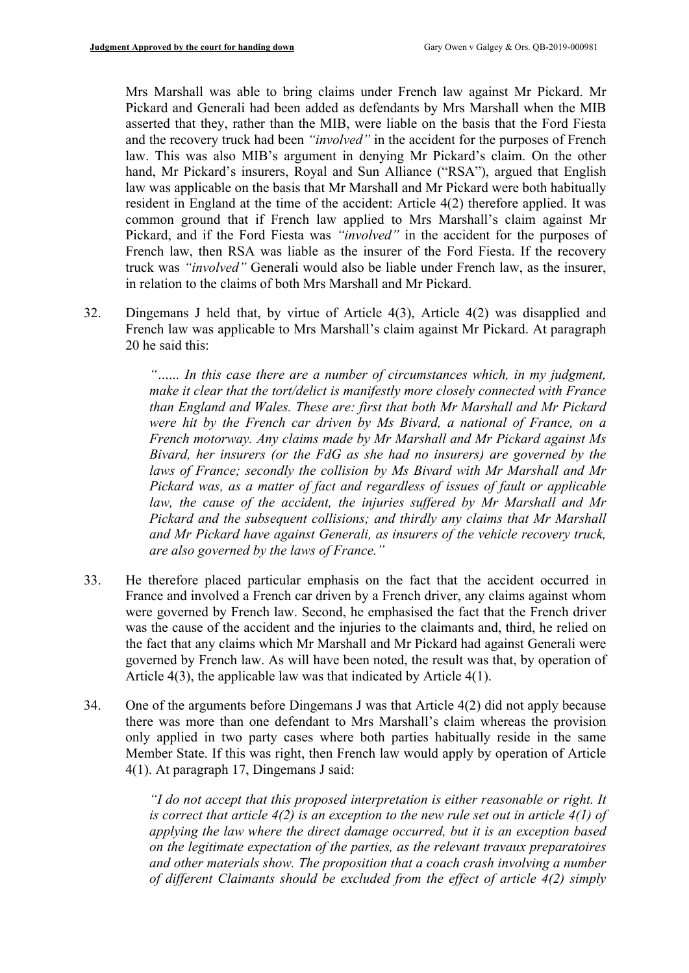Mrs Marshall was able to bring claims under French law against Mr Pickard. Mr Pickard and Generali had been added as defendants by Mrs Marshall when the MIB asserted that they, rather than the MIB, were liable on the basis that the Ford Fiesta and the recovery truck had been *"involved"* in the accident for the purposes of French law. This was also MIB's argument in denying Mr Pickard's claim. On the other hand, Mr Pickard's insurers, Royal and Sun Alliance ("RSA"), argued that English law was applicable on the basis that Mr Marshall and Mr Pickard were both habitually resident in England at the time of the accident: Article 4(2) therefore applied. It was common ground that if French law applied to Mrs Marshall's claim against Mr Pickard, and if the Ford Fiesta was *"involved"* in the accident for the purposes of French law, then RSA was liable as the insurer of the Ford Fiesta. If the recovery truck was *"involved"* Generali would also be liable under French law, as the insurer, in relation to the claims of both Mrs Marshall and Mr Pickard.

32. Dingemans J held that, by virtue of Article 4(3), Article 4(2) was disapplied and French law was applicable to Mrs Marshall's claim against Mr Pickard. At paragraph 20 he said this:

> *"…... In this case there are a number of circumstances which, in my judgment, make it clear that the tort/delict is manifestly more closely connected with France than England and Wales. These are: first that both Mr Marshall and Mr Pickard were hit by the French car driven by Ms Bivard, a national of France, on a French motorway. Any claims made by Mr Marshall and Mr Pickard against Ms Bivard, her insurers (or the FdG as she had no insurers) are governed by the laws of France; secondly the collision by Ms Bivard with Mr Marshall and Mr Pickard was, as a matter of fact and regardless of issues of fault or applicable law, the cause of the accident, the injuries suffered by Mr Marshall and Mr Pickard and the subsequent collisions; and thirdly any claims that Mr Marshall and Mr Pickard have against Generali, as insurers of the vehicle recovery truck, are also governed by the laws of France."*

- 33. He therefore placed particular emphasis on the fact that the accident occurred in France and involved a French car driven by a French driver, any claims against whom were governed by French law. Second, he emphasised the fact that the French driver was the cause of the accident and the injuries to the claimants and, third, he relied on the fact that any claims which Mr Marshall and Mr Pickard had against Generali were governed by French law. As will have been noted, the result was that, by operation of Article 4(3), the applicable law was that indicated by Article 4(1).
- 34. One of the arguments before Dingemans J was that Article 4(2) did not apply because there was more than one defendant to Mrs Marshall's claim whereas the provision only applied in two party cases where both parties habitually reside in the same Member State. If this was right, then French law would apply by operation of Article 4(1). At paragraph 17, Dingemans J said:

*"I do not accept that this proposed interpretation is either reasonable or right. It is correct that article 4(2) is an exception to the new rule set out in article 4(1) of applying the law where the direct damage occurred, but it is an exception based on the legitimate expectation of the parties, as the relevant travaux preparatoires and other materials show. The proposition that a coach crash involving a number of different Claimants should be excluded from the effect of article 4(2) simply*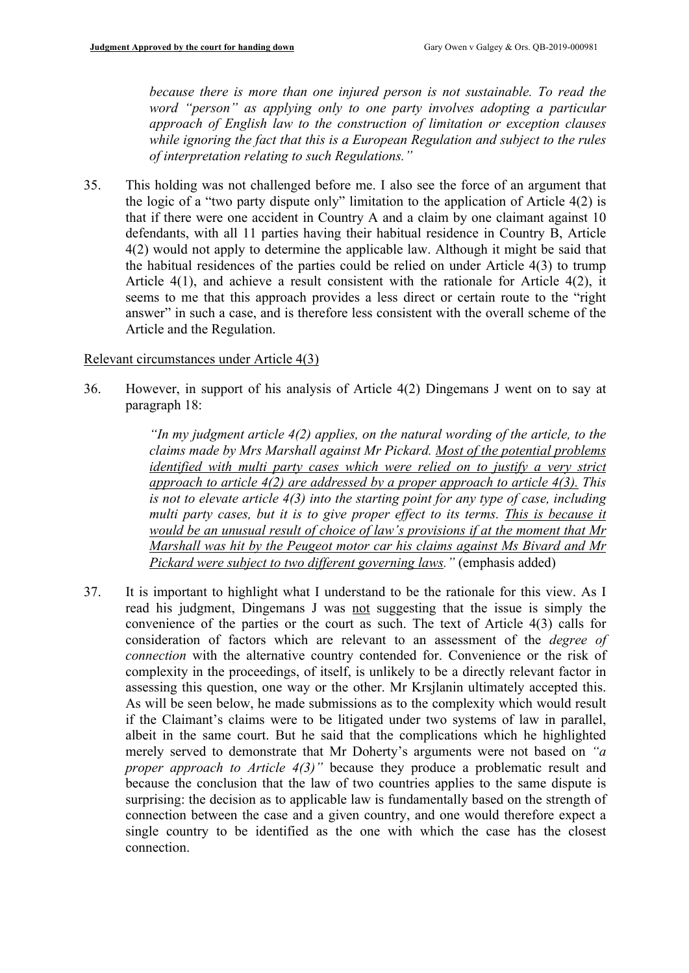*because there is more than one injured person is not sustainable. To read the word "person" as applying only to one party involves adopting a particular approach of English law to the construction of limitation or exception clauses while ignoring the fact that this is a European Regulation and subject to the rules of interpretation relating to such Regulations."*

35. This holding was not challenged before me. I also see the force of an argument that the logic of a "two party dispute only" limitation to the application of Article 4(2) is that if there were one accident in Country A and a claim by one claimant against 10 defendants, with all 11 parties having their habitual residence in Country B, Article 4(2) would not apply to determine the applicable law. Although it might be said that the habitual residences of the parties could be relied on under Article 4(3) to trump Article 4(1), and achieve a result consistent with the rationale for Article 4(2), it seems to me that this approach provides a less direct or certain route to the "right answer" in such a case, and is therefore less consistent with the overall scheme of the Article and the Regulation.

## Relevant circumstances under Article 4(3)

36. However, in support of his analysis of Article 4(2) Dingemans J went on to say at paragraph 18:

> *"In my judgment article 4(2) applies, on the natural wording of the article, to the claims made by Mrs Marshall against Mr Pickard. Most of the potential problems identified with multi party cases which were relied on to justify a very strict approach to article 4(2) are addressed by a proper approach to article 4(3). This is not to elevate article 4(3) into the starting point for any type of case, including multi party cases, but it is to give proper effect to its terms. This is because it would be an unusual result of choice of law's provisions if at the moment that Mr Marshall was hit by the Peugeot motor car his claims against Ms Bivard and Mr Pickard were subject to two different governing laws."* (emphasis added)

37. It is important to highlight what I understand to be the rationale for this view. As I read his judgment, Dingemans J was not suggesting that the issue is simply the convenience of the parties or the court as such. The text of Article 4(3) calls for consideration of factors which are relevant to an assessment of the *degree of connection* with the alternative country contended for. Convenience or the risk of complexity in the proceedings, of itself, is unlikely to be a directly relevant factor in assessing this question, one way or the other. Mr Krsjlanin ultimately accepted this. As will be seen below, he made submissions as to the complexity which would result if the Claimant's claims were to be litigated under two systems of law in parallel, albeit in the same court. But he said that the complications which he highlighted merely served to demonstrate that Mr Doherty's arguments were not based on *"a proper approach to Article 4(3)"* because they produce a problematic result and because the conclusion that the law of two countries applies to the same dispute is surprising: the decision as to applicable law is fundamentally based on the strength of connection between the case and a given country, and one would therefore expect a single country to be identified as the one with which the case has the closest connection.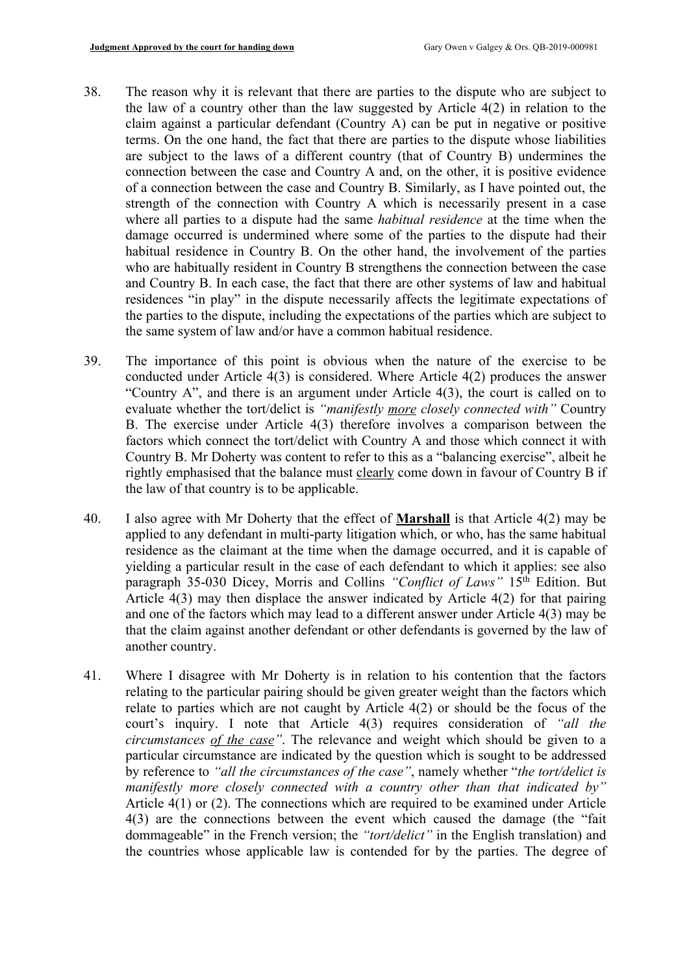- 38. The reason why it is relevant that there are parties to the dispute who are subject to the law of a country other than the law suggested by Article 4(2) in relation to the claim against a particular defendant (Country A) can be put in negative or positive terms. On the one hand, the fact that there are parties to the dispute whose liabilities are subject to the laws of a different country (that of Country B) undermines the connection between the case and Country A and, on the other, it is positive evidence of a connection between the case and Country B. Similarly, as I have pointed out, the strength of the connection with Country A which is necessarily present in a case where all parties to a dispute had the same *habitual residence* at the time when the damage occurred is undermined where some of the parties to the dispute had their habitual residence in Country B. On the other hand, the involvement of the parties who are habitually resident in Country B strengthens the connection between the case and Country B. In each case, the fact that there are other systems of law and habitual residences "in play" in the dispute necessarily affects the legitimate expectations of the parties to the dispute, including the expectations of the parties which are subject to the same system of law and/or have a common habitual residence.
- 39. The importance of this point is obvious when the nature of the exercise to be conducted under Article 4(3) is considered. Where Article 4(2) produces the answer "Country A", and there is an argument under Article 4(3), the court is called on to evaluate whether the tort/delict is *"manifestly more closely connected with"* Country B. The exercise under Article 4(3) therefore involves a comparison between the factors which connect the tort/delict with Country A and those which connect it with Country B. Mr Doherty was content to refer to this as a "balancing exercise", albeit he rightly emphasised that the balance must clearly come down in favour of Country B if the law of that country is to be applicable.
- 40. I also agree with Mr Doherty that the effect of **Marshall** is that Article 4(2) may be applied to any defendant in multi-party litigation which, or who, has the same habitual residence as the claimant at the time when the damage occurred, and it is capable of yielding a particular result in the case of each defendant to which it applies: see also paragraph 35-030 Dicey, Morris and Collins *"Conflict of Laws"* 15<sup>th</sup> Edition. But Article 4(3) may then displace the answer indicated by Article 4(2) for that pairing and one of the factors which may lead to a different answer under Article 4(3) may be that the claim against another defendant or other defendants is governed by the law of another country.
- 41. Where I disagree with Mr Doherty is in relation to his contention that the factors relating to the particular pairing should be given greater weight than the factors which relate to parties which are not caught by Article 4(2) or should be the focus of the court's inquiry. I note that Article 4(3) requires consideration of *"all the circumstances of the case"*. The relevance and weight which should be given to a particular circumstance are indicated by the question which is sought to be addressed by reference to *"all the circumstances of the case"*, namely whether "*the tort/delict is manifestly more closely connected with a country other than that indicated by"*  Article 4(1) or (2). The connections which are required to be examined under Article 4(3) are the connections between the event which caused the damage (the "fait dommageable" in the French version; the *"tort/delict"* in the English translation) and the countries whose applicable law is contended for by the parties. The degree of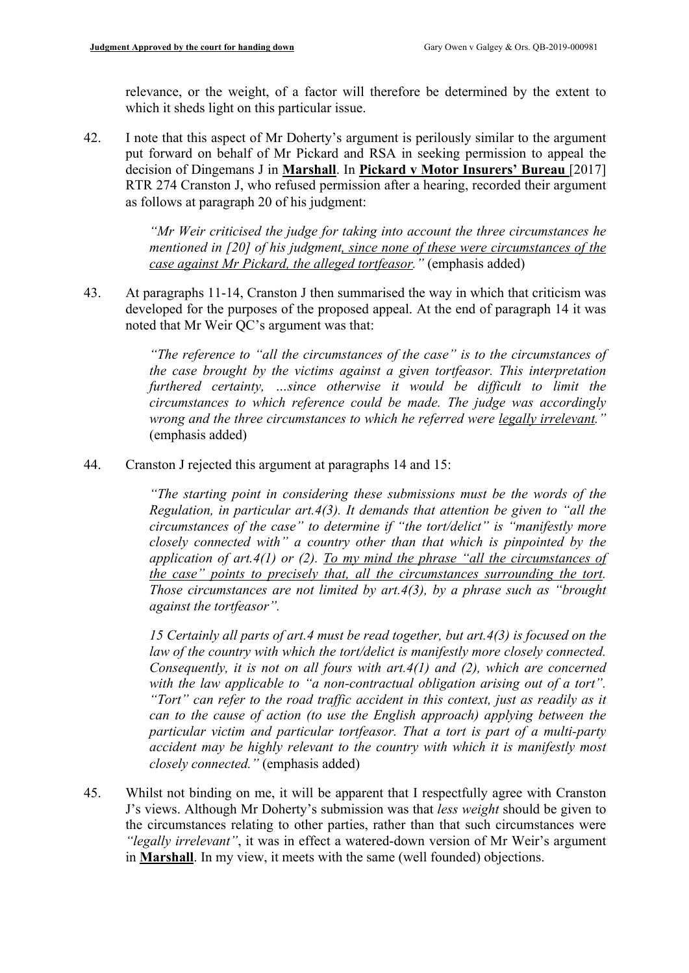relevance, or the weight, of a factor will therefore be determined by the extent to which it sheds light on this particular issue.

42. I note that this aspect of Mr Doherty's argument is perilously similar to the argument put forward on behalf of Mr Pickard and RSA in seeking permission to appeal the decision of Dingemans J in **Marshall**. In **Pickard v Motor Insurers' Bureau** [2017] RTR 274 Cranston J, who refused permission after a hearing, recorded their argument as follows at paragraph 20 of his judgment:

> *"Mr Weir criticised the judge for taking into account the three circumstances he mentioned in [20] of his judgment, since none of these were circumstances of the case against Mr Pickard, the alleged tortfeasor."* (emphasis added)

43. At paragraphs 11-14, Cranston J then summarised the way in which that criticism was developed for the purposes of the proposed appeal. At the end of paragraph 14 it was noted that Mr Weir QC's argument was that:

> *"The reference to "all the circumstances of the case" is to the circumstances of the case brought by the victims against a given tortfeasor. This interpretation furthered certainty, …since otherwise it would be difficult to limit the circumstances to which reference could be made. The judge was accordingly wrong and the three circumstances to which he referred were legally irrelevant."* (emphasis added)

44. Cranston J rejected this argument at paragraphs 14 and 15:

*"The starting point in considering these submissions must be the words of the Regulation, in particular art.4(3). It demands that attention be given to "all the circumstances of the case" to determine if "the tort/delict" is "manifestly more closely connected with" a country other than that which is pinpointed by the application of art.4(1) or (2). To my mind the phrase "all the circumstances of the case" points to precisely that, all the circumstances surrounding the tort. Those circumstances are not limited by art.4(3), by a phrase such as "brought against the tortfeasor".* 

*15 Certainly all parts of art.4 must be read together, but art.4(3) is focused on the law of the country with which the tort/delict is manifestly more closely connected. Consequently, it is not on all fours with art.4(1) and (2), which are concerned*  with the law applicable to "a non-contractual obligation arising out of a tort". *"Tort" can refer to the road traffic accident in this context, just as readily as it can to the cause of action (to use the English approach) applying between the particular victim and particular tortfeasor. That a tort is part of a multi-party accident may be highly relevant to the country with which it is manifestly most closely connected."* (emphasis added)

45. Whilst not binding on me, it will be apparent that I respectfully agree with Cranston J's views. Although Mr Doherty's submission was that *less weight* should be given to the circumstances relating to other parties, rather than that such circumstances were *"legally irrelevant"*, it was in effect a watered-down version of Mr Weir's argument in **Marshall**. In my view, it meets with the same (well founded) objections.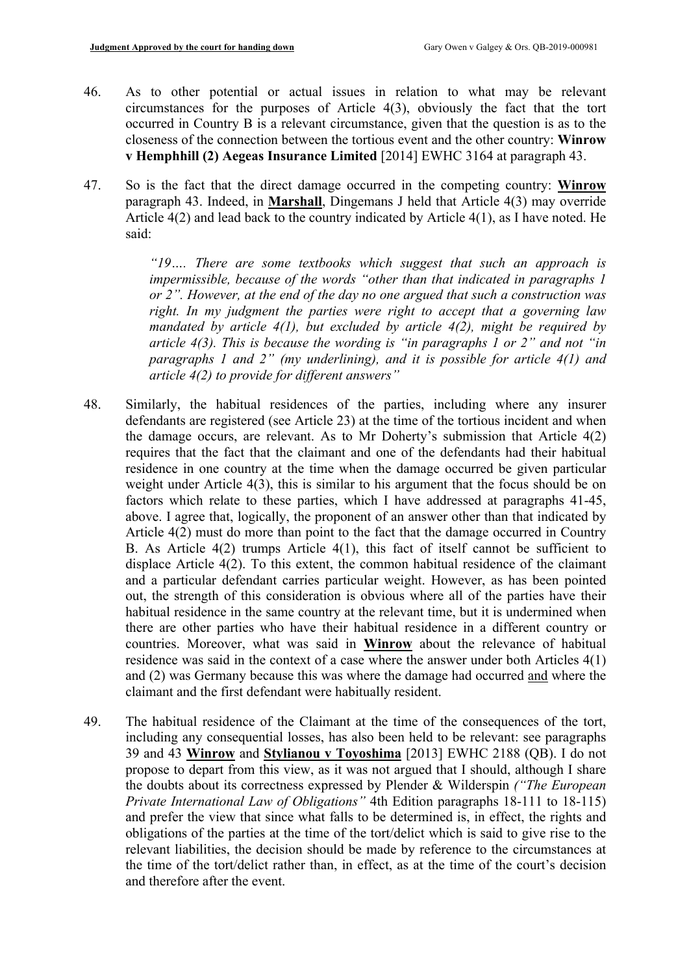- 46. As to other potential or actual issues in relation to what may be relevant circumstances for the purposes of Article 4(3), obviously the fact that the tort occurred in Country B is a relevant circumstance, given that the question is as to the closeness of the connection between the tortious event and the other country: **Winrow v Hemphhill (2) Aegeas Insurance Limited** [2014] EWHC 3164 at paragraph 43.
- 47. So is the fact that the direct damage occurred in the competing country: **Winrow**  paragraph 43. Indeed, in **Marshall**, Dingemans J held that Article 4(3) may override Article 4(2) and lead back to the country indicated by Article 4(1), as I have noted. He said:

*"19…. There are some textbooks which suggest that such an approach is impermissible, because of the words "other than that indicated in paragraphs 1 or 2". However, at the end of the day no one argued that such a construction was right. In my judgment the parties were right to accept that a governing law mandated by article 4(1), but excluded by article 4(2), might be required by article 4(3). This is because the wording is "in paragraphs 1 or 2" and not "in paragraphs 1 and 2" (my underlining), and it is possible for article 4(1) and article 4(2) to provide for different answers"* 

- 48. Similarly, the habitual residences of the parties, including where any insurer defendants are registered (see Article 23) at the time of the tortious incident and when the damage occurs, are relevant. As to Mr Doherty's submission that Article 4(2) requires that the fact that the claimant and one of the defendants had their habitual residence in one country at the time when the damage occurred be given particular weight under Article 4(3), this is similar to his argument that the focus should be on factors which relate to these parties, which I have addressed at paragraphs 41-45, above. I agree that, logically, the proponent of an answer other than that indicated by Article 4(2) must do more than point to the fact that the damage occurred in Country B. As Article 4(2) trumps Article 4(1), this fact of itself cannot be sufficient to displace Article 4(2). To this extent, the common habitual residence of the claimant and a particular defendant carries particular weight. However, as has been pointed out, the strength of this consideration is obvious where all of the parties have their habitual residence in the same country at the relevant time, but it is undermined when there are other parties who have their habitual residence in a different country or countries. Moreover, what was said in **Winrow** about the relevance of habitual residence was said in the context of a case where the answer under both Articles 4(1) and (2) was Germany because this was where the damage had occurred and where the claimant and the first defendant were habitually resident.
- 49. The habitual residence of the Claimant at the time of the consequences of the tort, including any consequential losses, has also been held to be relevant: see paragraphs 39 and 43 **Winrow** and **Stylianou v Toyoshima** [2013] EWHC 2188 (QB). I do not propose to depart from this view, as it was not argued that I should, although I share the doubts about its correctness expressed by Plender & Wilderspin *("The European Private International Law of Obligations"* 4th Edition paragraphs 18-111 to 18-115) and prefer the view that since what falls to be determined is, in effect, the rights and obligations of the parties at the time of the tort/delict which is said to give rise to the relevant liabilities, the decision should be made by reference to the circumstances at the time of the tort/delict rather than, in effect, as at the time of the court's decision and therefore after the event.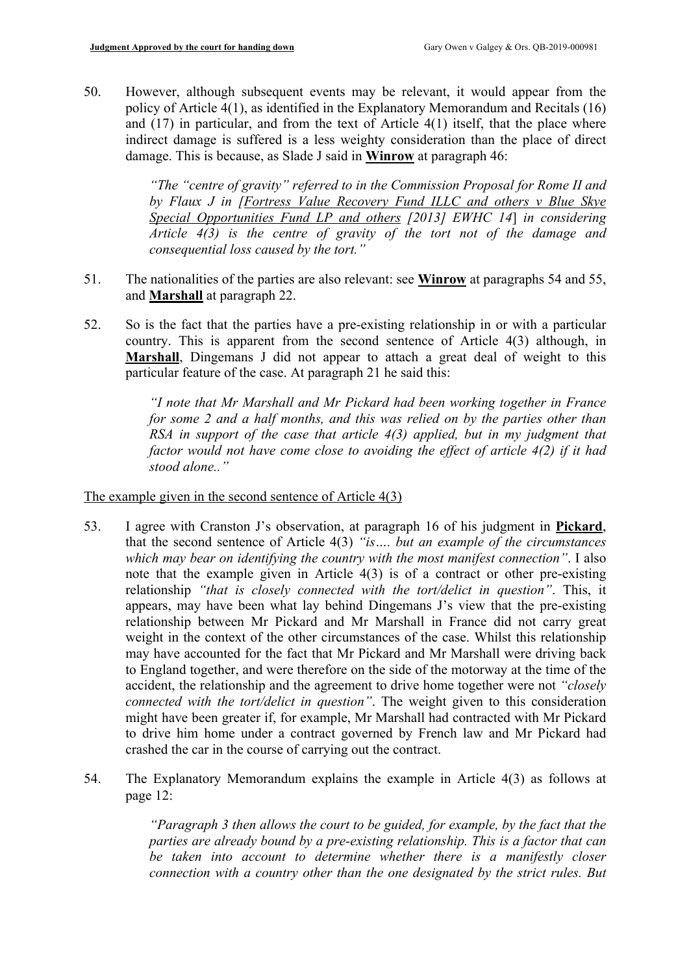50. However, although subsequent events may be relevant, it would appear from the policy of Article 4(1), as identified in the Explanatory Memorandum and Recitals (16) and (17) in particular, and from the text of Article 4(1) itself, that the place where indirect damage is suffered is a less weighty consideration than the place of direct damage. This is because, as Slade J said in **Winrow** at paragraph 46:

> *"The "centre of gravity" referred to in the Commission Proposal for Rome II and by Flaux J in [Fortress Value Recovery Fund ILLC and others v Blue Skye Special Opportunities Fund LP and others [2013] EWHC 14*] *in considering Article 4(3) is the centre of gravity of the tort not of the damage and consequential loss caused by the tort."*

- 51. The nationalities of the parties are also relevant: see **Winrow** at paragraphs 54 and 55, and **Marshall** at paragraph 22.
- 52. So is the fact that the parties have a pre-existing relationship in or with a particular country. This is apparent from the second sentence of Article 4(3) although, in **Marshall**, Dingemans J did not appear to attach a great deal of weight to this particular feature of the case. At paragraph 21 he said this:

*"I note that Mr Marshall and Mr Pickard had been working together in France for some 2 and a half months, and this was relied on by the parties other than RSA in support of the case that article 4(3) applied, but in my judgment that factor would not have come close to avoiding the effect of article 4(2) if it had stood alone.."*

The example given in the second sentence of Article 4(3)

- 53. I agree with Cranston J's observation, at paragraph 16 of his judgment in **Pickard**, that the second sentence of Article 4(3) *"is…. but an example of the circumstances which may bear on identifying the country with the most manifest connection"*. I also note that the example given in Article 4(3) is of a contract or other pre-existing relationship *"that is closely connected with the tort/delict in question"*. This, it appears, may have been what lay behind Dingemans J's view that the pre-existing relationship between Mr Pickard and Mr Marshall in France did not carry great weight in the context of the other circumstances of the case. Whilst this relationship may have accounted for the fact that Mr Pickard and Mr Marshall were driving back to England together, and were therefore on the side of the motorway at the time of the accident, the relationship and the agreement to drive home together were not *"closely connected with the tort/delict in question"*. The weight given to this consideration might have been greater if, for example, Mr Marshall had contracted with Mr Pickard to drive him home under a contract governed by French law and Mr Pickard had crashed the car in the course of carrying out the contract.
- 54. The Explanatory Memorandum explains the example in Article 4(3) as follows at page 12:

*"Paragraph 3 then allows the court to be guided, for example, by the fact that the parties are already bound by a pre-existing relationship. This is a factor that can be taken into account to determine whether there is a manifestly closer connection with a country other than the one designated by the strict rules. But*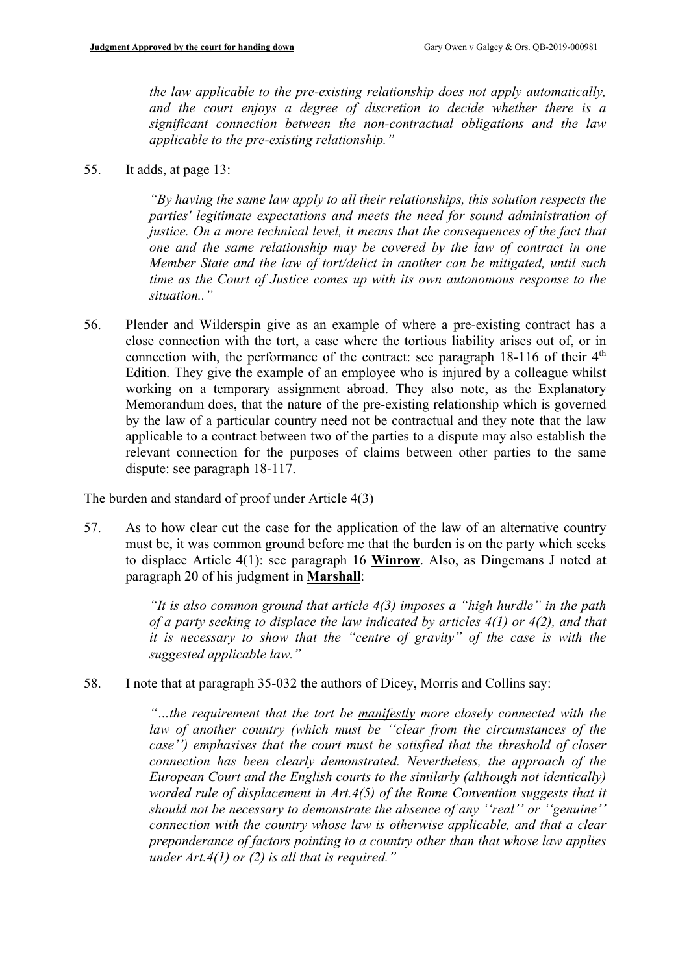*the law applicable to the pre-existing relationship does not apply automatically, and the court enjoys a degree of discretion to decide whether there is a significant connection between the non-contractual obligations and the law applicable to the pre-existing relationship."*

55. It adds, at page 13:

*"By having the same law apply to all their relationships, this solution respects the parties' legitimate expectations and meets the need for sound administration of justice. On a more technical level, it means that the consequences of the fact that one and the same relationship may be covered by the law of contract in one Member State and the law of tort/delict in another can be mitigated, until such time as the Court of Justice comes up with its own autonomous response to the situation.."*

56. Plender and Wilderspin give as an example of where a pre-existing contract has a close connection with the tort, a case where the tortious liability arises out of, or in connection with, the performance of the contract: see paragraph  $18-116$  of their  $4<sup>th</sup>$ Edition. They give the example of an employee who is injured by a colleague whilst working on a temporary assignment abroad. They also note, as the Explanatory Memorandum does, that the nature of the pre-existing relationship which is governed by the law of a particular country need not be contractual and they note that the law applicable to a contract between two of the parties to a dispute may also establish the relevant connection for the purposes of claims between other parties to the same dispute: see paragraph 18-117.

#### The burden and standard of proof under Article 4(3)

57. As to how clear cut the case for the application of the law of an alternative country must be, it was common ground before me that the burden is on the party which seeks to displace Article 4(1): see paragraph 16 **Winrow**. Also, as Dingemans J noted at paragraph 20 of his judgment in **Marshall**:

> *"It is also common ground that article 4(3) imposes a "high hurdle" in the path of a party seeking to displace the law indicated by articles 4(1) or 4(2), and that it is necessary to show that the "centre of gravity" of the case is with the suggested applicable law."*

58. I note that at paragraph 35-032 the authors of Dicey, Morris and Collins say:

*"…the requirement that the tort be manifestly more closely connected with the*  law of another country (which must be "clear from the circumstances of the *case'') emphasises that the court must be satisfied that the threshold of closer connection has been clearly demonstrated. Nevertheless, the approach of the European Court and the English courts to the similarly (although not identically) worded rule of displacement in Art.4(5) of the Rome Convention suggests that it should not be necessary to demonstrate the absence of any ''real'' or ''genuine'' connection with the country whose law is otherwise applicable, and that a clear preponderance of factors pointing to a country other than that whose law applies under Art.4(1) or (2) is all that is required."*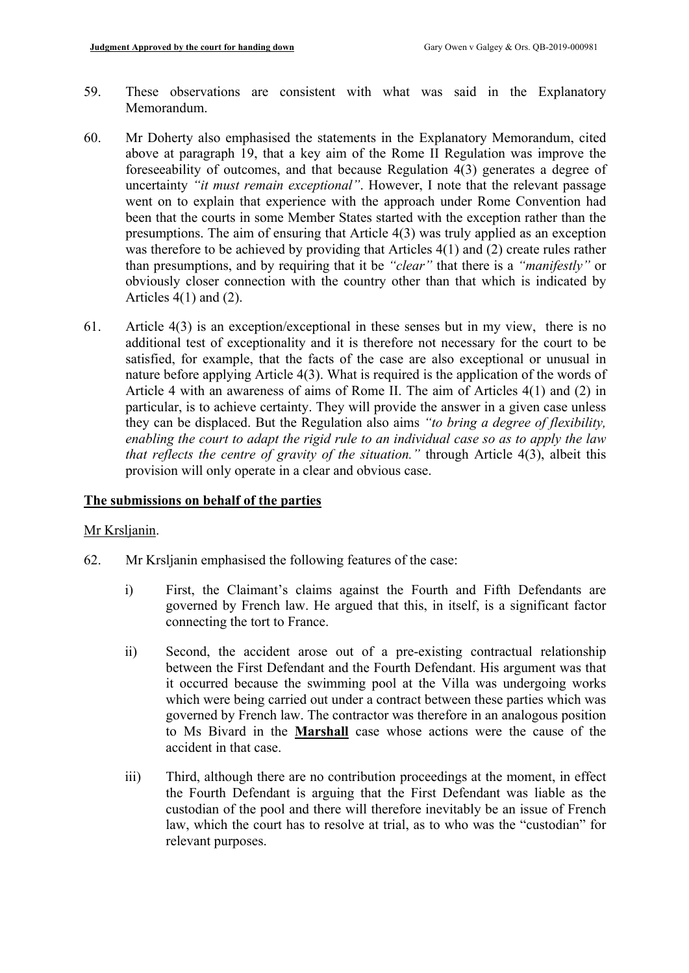- 59. These observations are consistent with what was said in the Explanatory Memorandum.
- 60. Mr Doherty also emphasised the statements in the Explanatory Memorandum, cited above at paragraph 19, that a key aim of the Rome II Regulation was improve the foreseeability of outcomes, and that because Regulation 4(3) generates a degree of uncertainty *"it must remain exceptional"*. However, I note that the relevant passage went on to explain that experience with the approach under Rome Convention had been that the courts in some Member States started with the exception rather than the presumptions. The aim of ensuring that Article 4(3) was truly applied as an exception was therefore to be achieved by providing that Articles 4(1) and (2) create rules rather than presumptions, and by requiring that it be *"clear"* that there is a *"manifestly"* or obviously closer connection with the country other than that which is indicated by Articles 4(1) and (2).
- 61. Article 4(3) is an exception/exceptional in these senses but in my view, there is no additional test of exceptionality and it is therefore not necessary for the court to be satisfied, for example, that the facts of the case are also exceptional or unusual in nature before applying Article 4(3). What is required is the application of the words of Article 4 with an awareness of aims of Rome II. The aim of Articles 4(1) and (2) in particular, is to achieve certainty. They will provide the answer in a given case unless they can be displaced. But the Regulation also aims *"to bring a degree of flexibility, enabling the court to adapt the rigid rule to an individual case so as to apply the law that reflects the centre of gravity of the situation."* through Article 4(3), albeit this provision will only operate in a clear and obvious case.

#### **The submissions on behalf of the parties**

#### Mr Krsljanin.

- 62. Mr Krsljanin emphasised the following features of the case:
	- i) First, the Claimant's claims against the Fourth and Fifth Defendants are governed by French law. He argued that this, in itself, is a significant factor connecting the tort to France.
	- ii) Second, the accident arose out of a pre-existing contractual relationship between the First Defendant and the Fourth Defendant. His argument was that it occurred because the swimming pool at the Villa was undergoing works which were being carried out under a contract between these parties which was governed by French law. The contractor was therefore in an analogous position to Ms Bivard in the **Marshall** case whose actions were the cause of the accident in that case.
	- iii) Third, although there are no contribution proceedings at the moment, in effect the Fourth Defendant is arguing that the First Defendant was liable as the custodian of the pool and there will therefore inevitably be an issue of French law, which the court has to resolve at trial, as to who was the "custodian" for relevant purposes.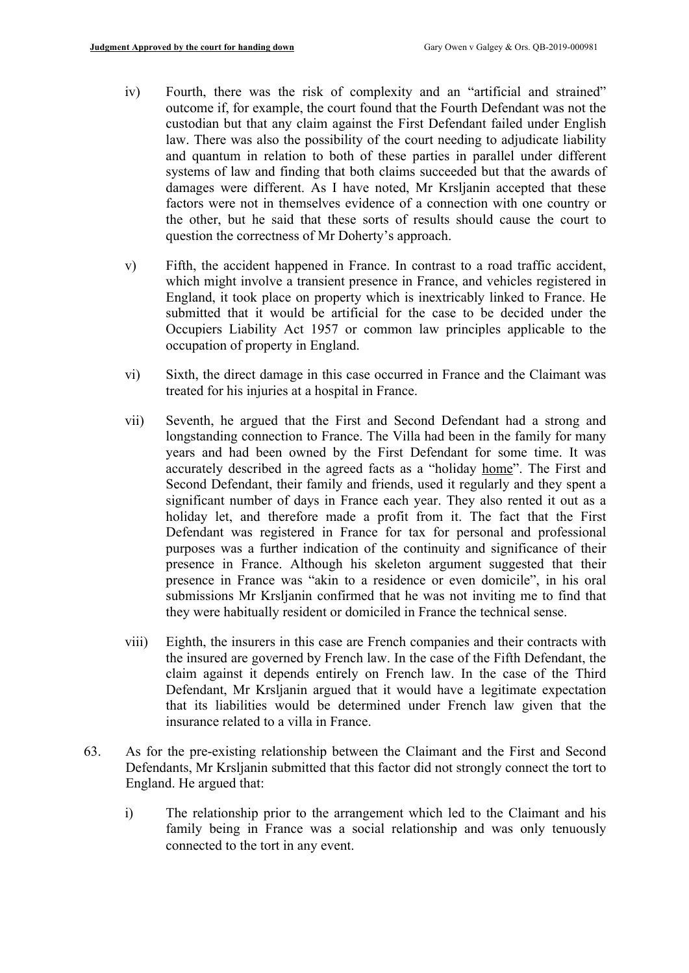- iv) Fourth, there was the risk of complexity and an "artificial and strained" outcome if, for example, the court found that the Fourth Defendant was not the custodian but that any claim against the First Defendant failed under English law. There was also the possibility of the court needing to adjudicate liability and quantum in relation to both of these parties in parallel under different systems of law and finding that both claims succeeded but that the awards of damages were different. As I have noted, Mr Krsljanin accepted that these factors were not in themselves evidence of a connection with one country or the other, but he said that these sorts of results should cause the court to question the correctness of Mr Doherty's approach.
- v) Fifth, the accident happened in France. In contrast to a road traffic accident, which might involve a transient presence in France, and vehicles registered in England, it took place on property which is inextricably linked to France. He submitted that it would be artificial for the case to be decided under the Occupiers Liability Act 1957 or common law principles applicable to the occupation of property in England.
- vi) Sixth, the direct damage in this case occurred in France and the Claimant was treated for his injuries at a hospital in France.
- vii) Seventh, he argued that the First and Second Defendant had a strong and longstanding connection to France. The Villa had been in the family for many years and had been owned by the First Defendant for some time. It was accurately described in the agreed facts as a "holiday home". The First and Second Defendant, their family and friends, used it regularly and they spent a significant number of days in France each year. They also rented it out as a holiday let, and therefore made a profit from it. The fact that the First Defendant was registered in France for tax for personal and professional purposes was a further indication of the continuity and significance of their presence in France. Although his skeleton argument suggested that their presence in France was "akin to a residence or even domicile", in his oral submissions Mr Krsljanin confirmed that he was not inviting me to find that they were habitually resident or domiciled in France the technical sense.
- viii) Eighth, the insurers in this case are French companies and their contracts with the insured are governed by French law. In the case of the Fifth Defendant, the claim against it depends entirely on French law. In the case of the Third Defendant, Mr Krsljanin argued that it would have a legitimate expectation that its liabilities would be determined under French law given that the insurance related to a villa in France.
- 63. As for the pre-existing relationship between the Claimant and the First and Second Defendants, Mr Krsljanin submitted that this factor did not strongly connect the tort to England. He argued that:
	- i) The relationship prior to the arrangement which led to the Claimant and his family being in France was a social relationship and was only tenuously connected to the tort in any event.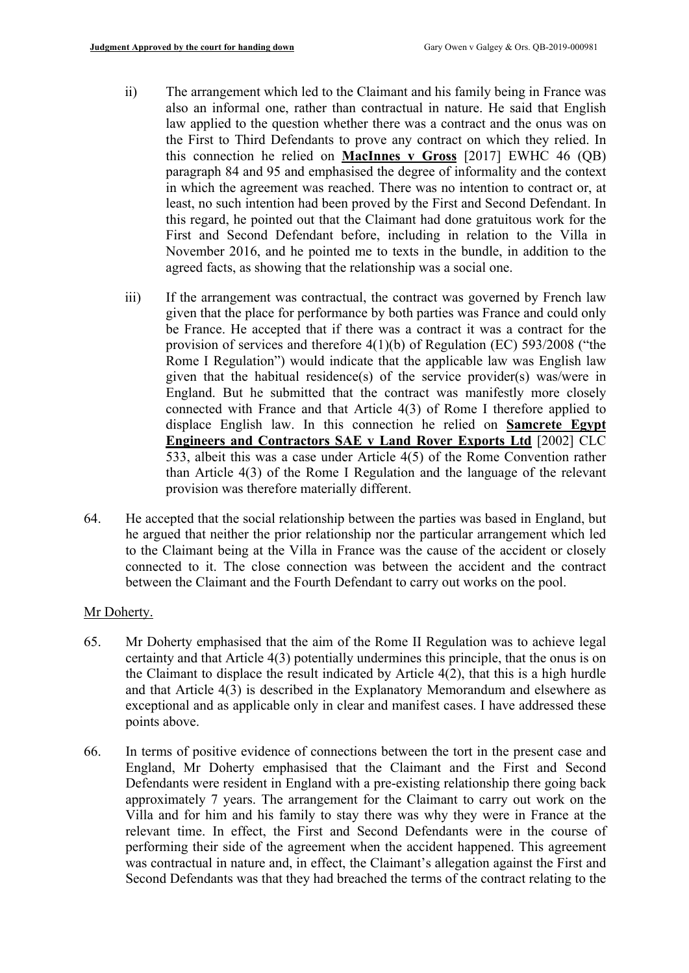- ii) The arrangement which led to the Claimant and his family being in France was also an informal one, rather than contractual in nature. He said that English law applied to the question whether there was a contract and the onus was on the First to Third Defendants to prove any contract on which they relied. In this connection he relied on **MacInnes v Gross** [2017] EWHC 46 (QB) paragraph 84 and 95 and emphasised the degree of informality and the context in which the agreement was reached. There was no intention to contract or, at least, no such intention had been proved by the First and Second Defendant. In this regard, he pointed out that the Claimant had done gratuitous work for the First and Second Defendant before, including in relation to the Villa in November 2016, and he pointed me to texts in the bundle, in addition to the agreed facts, as showing that the relationship was a social one.
- iii) If the arrangement was contractual, the contract was governed by French law given that the place for performance by both parties was France and could only be France. He accepted that if there was a contract it was a contract for the provision of services and therefore 4(1)(b) of Regulation (EC) 593/2008 ("the Rome I Regulation") would indicate that the applicable law was English law given that the habitual residence(s) of the service provider(s) was/were in England. But he submitted that the contract was manifestly more closely connected with France and that Article 4(3) of Rome I therefore applied to displace English law. In this connection he relied on **Samcrete Egypt Engineers and Contractors SAE v Land Rover Exports Ltd** [2002] CLC 533, albeit this was a case under Article 4(5) of the Rome Convention rather than Article 4(3) of the Rome I Regulation and the language of the relevant provision was therefore materially different.
- 64. He accepted that the social relationship between the parties was based in England, but he argued that neither the prior relationship nor the particular arrangement which led to the Claimant being at the Villa in France was the cause of the accident or closely connected to it. The close connection was between the accident and the contract between the Claimant and the Fourth Defendant to carry out works on the pool.

#### Mr Doherty.

- 65. Mr Doherty emphasised that the aim of the Rome II Regulation was to achieve legal certainty and that Article 4(3) potentially undermines this principle, that the onus is on the Claimant to displace the result indicated by Article 4(2), that this is a high hurdle and that Article 4(3) is described in the Explanatory Memorandum and elsewhere as exceptional and as applicable only in clear and manifest cases. I have addressed these points above.
- 66. In terms of positive evidence of connections between the tort in the present case and England, Mr Doherty emphasised that the Claimant and the First and Second Defendants were resident in England with a pre-existing relationship there going back approximately 7 years. The arrangement for the Claimant to carry out work on the Villa and for him and his family to stay there was why they were in France at the relevant time. In effect, the First and Second Defendants were in the course of performing their side of the agreement when the accident happened. This agreement was contractual in nature and, in effect, the Claimant's allegation against the First and Second Defendants was that they had breached the terms of the contract relating to the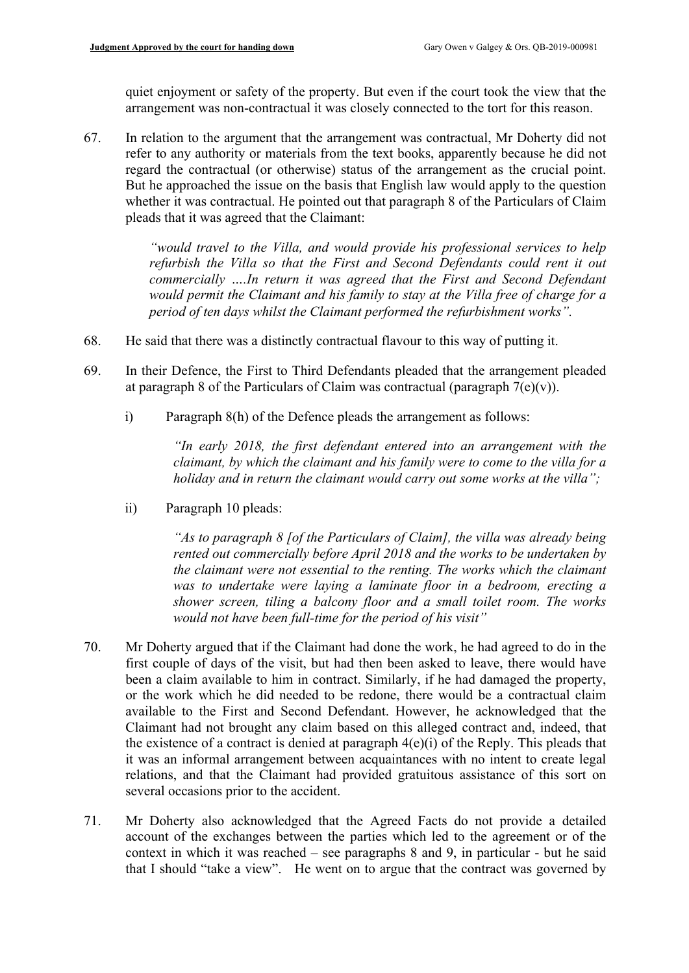quiet enjoyment or safety of the property. But even if the court took the view that the arrangement was non-contractual it was closely connected to the tort for this reason.

67. In relation to the argument that the arrangement was contractual, Mr Doherty did not refer to any authority or materials from the text books, apparently because he did not regard the contractual (or otherwise) status of the arrangement as the crucial point. But he approached the issue on the basis that English law would apply to the question whether it was contractual. He pointed out that paragraph 8 of the Particulars of Claim pleads that it was agreed that the Claimant:

> *"would travel to the Villa, and would provide his professional services to help refurbish the Villa so that the First and Second Defendants could rent it out commercially ….In return it was agreed that the First and Second Defendant would permit the Claimant and his family to stay at the Villa free of charge for a period of ten days whilst the Claimant performed the refurbishment works".*

- 68. He said that there was a distinctly contractual flavour to this way of putting it.
- 69. In their Defence, the First to Third Defendants pleaded that the arrangement pleaded at paragraph 8 of the Particulars of Claim was contractual (paragraph  $7(e)(v)$ ).
	- i) Paragraph 8(h) of the Defence pleads the arrangement as follows:

*"In early 2018, the first defendant entered into an arrangement with the claimant, by which the claimant and his family were to come to the villa for a holiday and in return the claimant would carry out some works at the villa";*

ii) Paragraph 10 pleads:

*"As to paragraph 8 [of the Particulars of Claim], the villa was already being rented out commercially before April 2018 and the works to be undertaken by the claimant were not essential to the renting. The works which the claimant was to undertake were laying a laminate floor in a bedroom, erecting a shower screen, tiling a balcony floor and a small toilet room. The works would not have been full-time for the period of his visit"*

- 70. Mr Doherty argued that if the Claimant had done the work, he had agreed to do in the first couple of days of the visit, but had then been asked to leave, there would have been a claim available to him in contract. Similarly, if he had damaged the property, or the work which he did needed to be redone, there would be a contractual claim available to the First and Second Defendant. However, he acknowledged that the Claimant had not brought any claim based on this alleged contract and, indeed, that the existence of a contract is denied at paragraph  $4(e)(i)$  of the Reply. This pleads that it was an informal arrangement between acquaintances with no intent to create legal relations, and that the Claimant had provided gratuitous assistance of this sort on several occasions prior to the accident.
- 71. Mr Doherty also acknowledged that the Agreed Facts do not provide a detailed account of the exchanges between the parties which led to the agreement or of the context in which it was reached – see paragraphs 8 and 9, in particular - but he said that I should "take a view". He went on to argue that the contract was governed by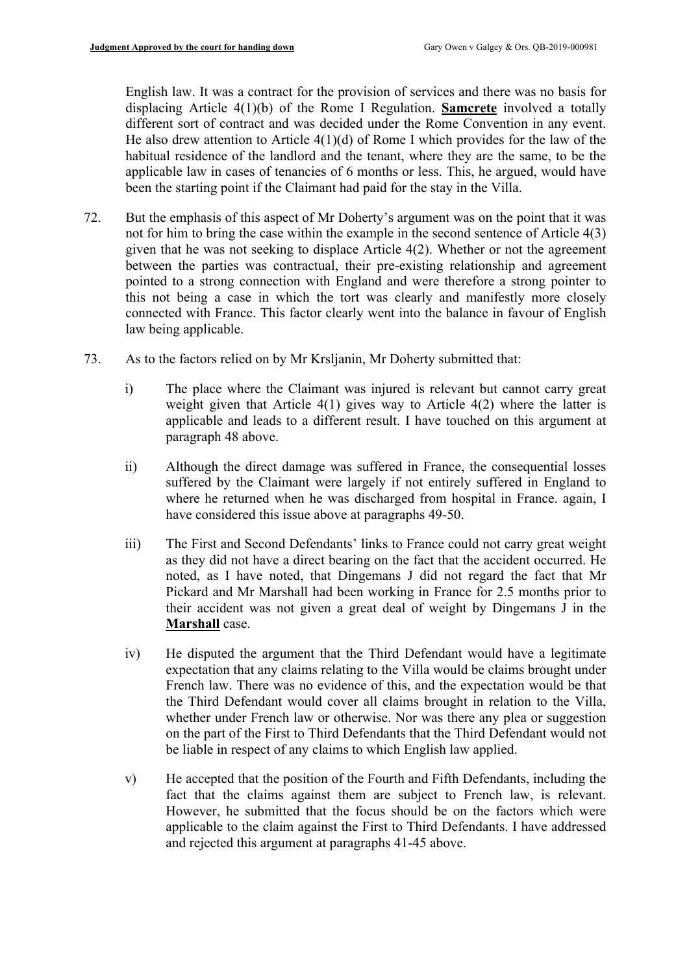English law. It was a contract for the provision of services and there was no basis for displacing Article 4(1)(b) of the Rome I Regulation. **Samcrete** involved a totally different sort of contract and was decided under the Rome Convention in any event. He also drew attention to Article  $4(1)(d)$  of Rome I which provides for the law of the habitual residence of the landlord and the tenant, where they are the same, to be the applicable law in cases of tenancies of 6 months or less. This, he argued, would have been the starting point if the Claimant had paid for the stay in the Villa.

- 72. But the emphasis of this aspect of Mr Doherty's argument was on the point that it was not for him to bring the case within the example in the second sentence of Article 4(3) given that he was not seeking to displace Article 4(2). Whether or not the agreement between the parties was contractual, their pre-existing relationship and agreement pointed to a strong connection with England and were therefore a strong pointer to this not being a case in which the tort was clearly and manifestly more closely connected with France. This factor clearly went into the balance in favour of English law being applicable.
- 73. As to the factors relied on by Mr Krsljanin, Mr Doherty submitted that:
	- i) The place where the Claimant was injured is relevant but cannot carry great weight given that Article 4(1) gives way to Article 4(2) where the latter is applicable and leads to a different result. I have touched on this argument at paragraph 48 above.
	- ii) Although the direct damage was suffered in France, the consequential losses suffered by the Claimant were largely if not entirely suffered in England to where he returned when he was discharged from hospital in France. again, I have considered this issue above at paragraphs 49-50.
	- iii) The First and Second Defendants' links to France could not carry great weight as they did not have a direct bearing on the fact that the accident occurred. He noted, as I have noted, that Dingemans J did not regard the fact that Mr Pickard and Mr Marshall had been working in France for 2.5 months prior to their accident was not given a great deal of weight by Dingemans J in the **Marshall** case.
	- iv) He disputed the argument that the Third Defendant would have a legitimate expectation that any claims relating to the Villa would be claims brought under French law. There was no evidence of this, and the expectation would be that the Third Defendant would cover all claims brought in relation to the Villa, whether under French law or otherwise. Nor was there any plea or suggestion on the part of the First to Third Defendants that the Third Defendant would not be liable in respect of any claims to which English law applied.
	- v) He accepted that the position of the Fourth and Fifth Defendants, including the fact that the claims against them are subject to French law, is relevant. However, he submitted that the focus should be on the factors which were applicable to the claim against the First to Third Defendants. I have addressed and rejected this argument at paragraphs 41-45 above.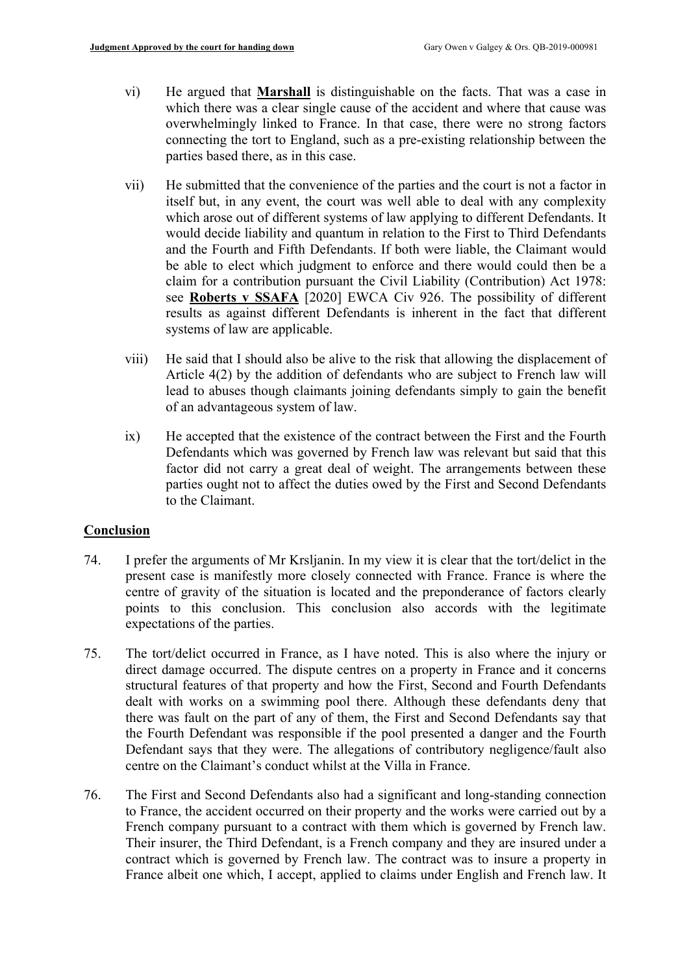- vi) He argued that **Marshall** is distinguishable on the facts. That was a case in which there was a clear single cause of the accident and where that cause was overwhelmingly linked to France. In that case, there were no strong factors connecting the tort to England, such as a pre-existing relationship between the parties based there, as in this case.
- vii) He submitted that the convenience of the parties and the court is not a factor in itself but, in any event, the court was well able to deal with any complexity which arose out of different systems of law applying to different Defendants. It would decide liability and quantum in relation to the First to Third Defendants and the Fourth and Fifth Defendants. If both were liable, the Claimant would be able to elect which judgment to enforce and there would could then be a claim for a contribution pursuant the Civil Liability (Contribution) Act 1978: see **Roberts v SSAFA** [2020] EWCA Civ 926. The possibility of different results as against different Defendants is inherent in the fact that different systems of law are applicable.
- viii) He said that I should also be alive to the risk that allowing the displacement of Article 4(2) by the addition of defendants who are subject to French law will lead to abuses though claimants joining defendants simply to gain the benefit of an advantageous system of law.
- ix) He accepted that the existence of the contract between the First and the Fourth Defendants which was governed by French law was relevant but said that this factor did not carry a great deal of weight. The arrangements between these parties ought not to affect the duties owed by the First and Second Defendants to the Claimant.

# **Conclusion**

- 74. I prefer the arguments of Mr Krsljanin. In my view it is clear that the tort/delict in the present case is manifestly more closely connected with France. France is where the centre of gravity of the situation is located and the preponderance of factors clearly points to this conclusion. This conclusion also accords with the legitimate expectations of the parties.
- 75. The tort/delict occurred in France, as I have noted. This is also where the injury or direct damage occurred. The dispute centres on a property in France and it concerns structural features of that property and how the First, Second and Fourth Defendants dealt with works on a swimming pool there. Although these defendants deny that there was fault on the part of any of them, the First and Second Defendants say that the Fourth Defendant was responsible if the pool presented a danger and the Fourth Defendant says that they were. The allegations of contributory negligence/fault also centre on the Claimant's conduct whilst at the Villa in France.
- 76. The First and Second Defendants also had a significant and long-standing connection to France, the accident occurred on their property and the works were carried out by a French company pursuant to a contract with them which is governed by French law. Their insurer, the Third Defendant, is a French company and they are insured under a contract which is governed by French law. The contract was to insure a property in France albeit one which, I accept, applied to claims under English and French law. It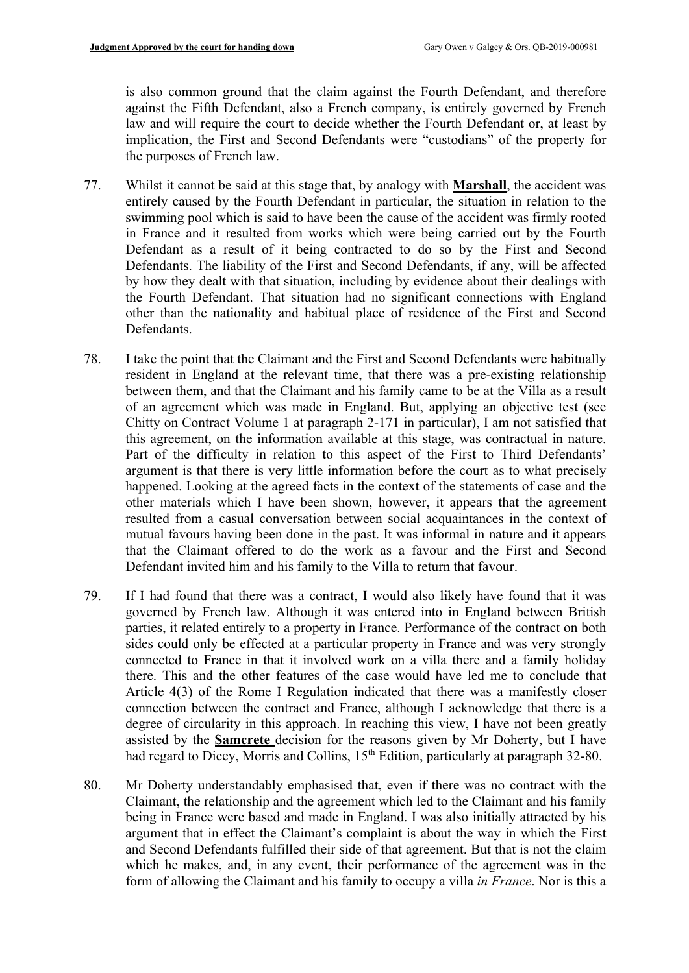is also common ground that the claim against the Fourth Defendant, and therefore against the Fifth Defendant, also a French company, is entirely governed by French law and will require the court to decide whether the Fourth Defendant or, at least by implication, the First and Second Defendants were "custodians" of the property for the purposes of French law.

- 77. Whilst it cannot be said at this stage that, by analogy with **Marshall**, the accident was entirely caused by the Fourth Defendant in particular, the situation in relation to the swimming pool which is said to have been the cause of the accident was firmly rooted in France and it resulted from works which were being carried out by the Fourth Defendant as a result of it being contracted to do so by the First and Second Defendants. The liability of the First and Second Defendants, if any, will be affected by how they dealt with that situation, including by evidence about their dealings with the Fourth Defendant. That situation had no significant connections with England other than the nationality and habitual place of residence of the First and Second Defendants.
- 78. I take the point that the Claimant and the First and Second Defendants were habitually resident in England at the relevant time, that there was a pre-existing relationship between them, and that the Claimant and his family came to be at the Villa as a result of an agreement which was made in England. But, applying an objective test (see Chitty on Contract Volume 1 at paragraph 2-171 in particular), I am not satisfied that this agreement, on the information available at this stage, was contractual in nature. Part of the difficulty in relation to this aspect of the First to Third Defendants' argument is that there is very little information before the court as to what precisely happened. Looking at the agreed facts in the context of the statements of case and the other materials which I have been shown, however, it appears that the agreement resulted from a casual conversation between social acquaintances in the context of mutual favours having been done in the past. It was informal in nature and it appears that the Claimant offered to do the work as a favour and the First and Second Defendant invited him and his family to the Villa to return that favour.
- 79. If I had found that there was a contract, I would also likely have found that it was governed by French law. Although it was entered into in England between British parties, it related entirely to a property in France. Performance of the contract on both sides could only be effected at a particular property in France and was very strongly connected to France in that it involved work on a villa there and a family holiday there. This and the other features of the case would have led me to conclude that Article 4(3) of the Rome I Regulation indicated that there was a manifestly closer connection between the contract and France, although I acknowledge that there is a degree of circularity in this approach. In reaching this view, I have not been greatly assisted by the **Samcrete** decision for the reasons given by Mr Doherty, but I have had regard to Dicey, Morris and Collins, 15<sup>th</sup> Edition, particularly at paragraph 32-80.
- 80. Mr Doherty understandably emphasised that, even if there was no contract with the Claimant, the relationship and the agreement which led to the Claimant and his family being in France were based and made in England. I was also initially attracted by his argument that in effect the Claimant's complaint is about the way in which the First and Second Defendants fulfilled their side of that agreement. But that is not the claim which he makes, and, in any event, their performance of the agreement was in the form of allowing the Claimant and his family to occupy a villa *in France*. Nor is this a